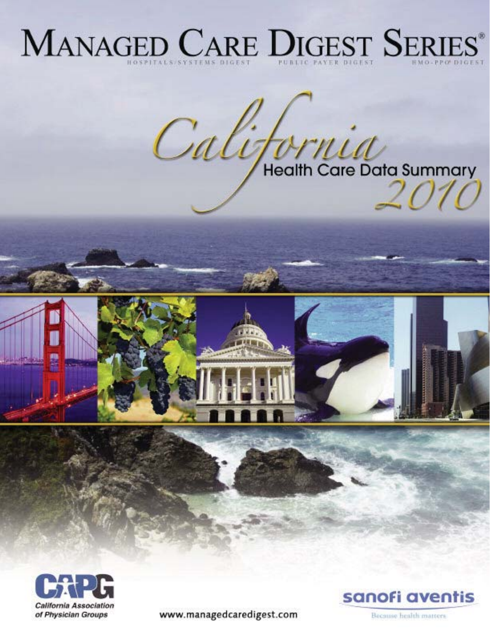# MANAGED CARE DIGEST SERIES®







www.managedcaredigest.com

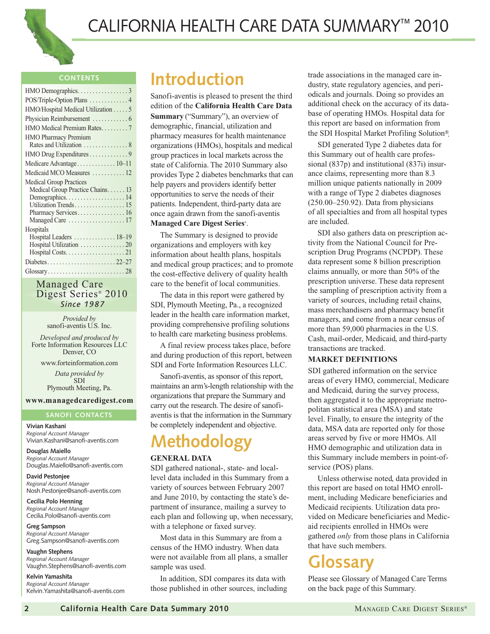

#### **CONTENTS**

| HMO Demographics. 3                |
|------------------------------------|
| POS/Triple-Option Plans  4         |
| HMO/Hospital Medical Utilization 5 |
|                                    |
| HMO Medical Premium Rates7         |
| HMO Pharmacy Premium               |
| HMO Drug Expenditures 9            |
| Medicare Advantage 10-11           |
| Medicaid MCO Measures  12          |
| <b>Medical Group Practices</b>     |
| Medical Group Practice Chains 13   |
| Demographics 14                    |
| Utilization Trends 15              |
| Pharmacy Services 16               |
|                                    |
| Hospitals                          |
| Hospital Leaders  18-19            |
| Hospital Utilization 20            |
|                                    |
|                                    |
|                                    |
|                                    |

#### Managed Care Digest Series® 2010 *Since 1987*

*Provided by* sanofi-aventis U.S. Inc.

*Developed and produced by*  Forte Information Resources LLC Denver, CO

www.forteinformation.com *Data provided by* 

SDI Plymouth Meeting, Pa.

#### **www.managedcaredigest.com**

#### **SANOFI CONTACTS**

**Vivian Kashani** *Regional Account Manager* Vivian.Kashani@sanofi-aventis.com

**Douglas Maiello** *Regional Account Manager* Douglas.Maiello@sanofi-aventis.com

**David Pestonjee** *Regional Account Manager* Nosh.Pestonjee@sanofi-aventis.com

**Cecilia Polo Henning** *Regional Account Manager* Cecilia.Polo@sanofi-aventis.com

**Greg Sampson** *Regional Account Manager* Greg.Sampson@sanofi-aventis.com

**Vaughn Stephens** *Regional Account Manager* Vaughn.Stephens@sanofi-aventis.com

**Kelvin Yamashita** *Regional Account Manager* Kelvin.Yamashita@sanofi-aventis.com

### **Introduction**

Sanofi-aventis is pleased to present the third edition of the **California Health Care Data Summary** ("Summary"), an overview of demographic, financial, utilization and pharmacy measures for health maintenance organizations (HMOs), hospitals and medical group practices in local markets across the state of California. The 2010 Summary also provides Type 2 diabetes benchmarks that can help payers and providers identify better opportunities to serve the needs of their patients. Independent, third-party data are once again drawn from the sanofi-aventis **Managed Care Digest Series**® .

The Summary is designed to provide organizations and employers with key information about health plans, hospitals and medical group practices; and to promote the cost-effective delivery of quality health care to the benefit of local communities.

The data in this report were gathered by SDI, Plymouth Meeting, Pa., a recognized leader in the health care information market, providing comprehensive profiling solutions to health care marketing business problems.

A final review process takes place, before and during production of this report, between SDI and Forte Information Resources LLC.

Sanofi-aventis, as sponsor of this report, maintains an arm's-length relationship with the organizations that prepare the Summary and carry out the research. The desire of sanofiaventis is that the information in the Summary be completely independent and objective.

# **Methodology**

#### **GENERAL DATA**

SDI gathered national-, state- and locallevel data included in this Summary from a variety of sources between February 2007 and June 2010, by contacting the state's department of insurance, mailing a survey to each plan and following up, when necessary, with a telephone or faxed survey.

Most data in this Summary are from a census of the HMO industry. When data were not available from all plans, a smaller sample was used.

In addition, SDI compares its data with those published in other sources, including trade associations in the managed care industry, state regulatory agencies, and periodicals and journals. Doing so provides an additional check on the accuracy of its database of operating HMOs. Hospital data for this report are based on information from the SDI Hospital Market Profiling Solution®.

SDI generated Type 2 diabetes data for this Summary out of health care professional (837p) and institutional (837i) insurance claims, representing more than 8.3 million unique patients nationally in 2009 with a range of Type 2 diabetes diagnoses (250.00–250.92). Data from physicians of all specialties and from all hospital types are included.

SDI also gathers data on prescription activity from the National Council for Prescription Drug Programs (NCPDP). These data represent some 8 billion prescription claims annually, or more than 50% of the prescription universe. These data represent the sampling of prescription activity from a variety of sources, including retail chains, mass merchandisers and pharmacy benefit managers, and come from a near census of more than 59,000 pharmacies in the U.S. Cash, mail-order, Medicaid, and third-party transactions are tracked.

#### **MARKET DEFINITIONS**

SDI gathered information on the service areas of every HMO, commercial, Medicare and Medicaid, during the survey process, then aggregated it to the appropriate metropolitan statistical area (MSA) and state level. Finally, to ensure the integrity of the data, MSA data are reported only for those areas served by five or more HMOs. All HMO demographic and utilization data in this Summary include members in point-ofservice (POS) plans.

Unless otherwise noted, data provided in this report are based on total HMO enrollment, including Medicare beneficiaries and Medicaid recipients. Utilization data provided on Medicare beneficiaries and Medicaid recipients enrolled in HMOs were gathered *only* from those plans in California that have such members.

### **Glossary**

Please see Glossary of Managed Care Terms on the back page of this Summary.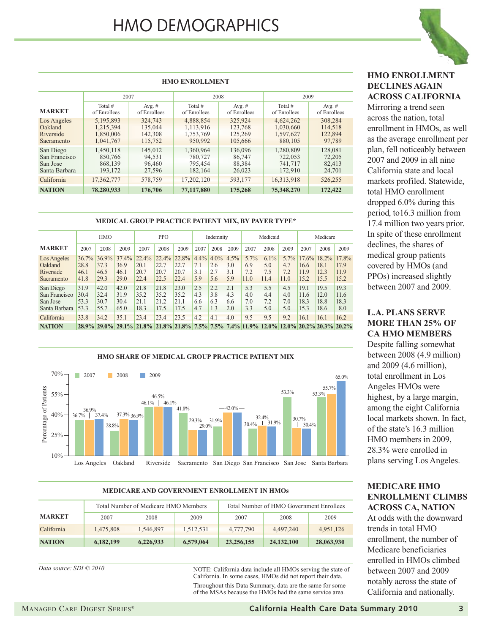# HMO DEMOGRAPHICS

**HMO ENROLLMENT** 

Total # of Enrollees

Los Angeles 5,195,893 324,743 4,888,854 325,924 4,624,262 308,284 Oakland 1,215,394 135,044 1,113,916 123,768 1,030,660 114,518 Riverside 1,850,006 142,308 1,753,769 125,269 1,597,627 122,894 Sacramento 1,041,767 115,752 950,992 105,666 880,105 97,789 San Diego 1,450,118 145,012 1,360,964 136,096 1,280,809 128,081 San Francisco 850,766 94,531 780,727 86,747 722,053 72,205 San Jose | 868,139 | 96,460 | 795,454 | 88,384 | 741,717 | 82,413 Santa Barbara 193,172 27,596 182,164 26,023 172,910 24,701 California 17,362,777 578,759 17,202,120 593,177 16,313,918 526,255 **NATION 78,280,933 176,706 77,117,880 175,268 75,348,270 172,422**

Total # of Enrollees

**MARKET**

Avg. # of Enrollees

2007 2008 2009

Avg. # of Enrollees

Total # of Enrollees

Avg. # of Enrollees



#### **HMO ENROLLMENT DECLINES AGAIN ACROSS CALIFORNIA**

Mirroring a trend seen across the nation, total enrollment in HMOs, as well as the average enrollment per plan, fell noticeably between 2007 and 2009 in all nine California state and local markets profiled. Statewide, total HMO enrollment dropped 6.0% during this period, to16.3 million from 17.4 million two years prior. In spite of these enrollment declines, the shares of medical group patients covered by HMOs (and PPOs) increased slightly between 2007 and 2009.

#### **MEDICAL GROUP PRACTICE PATIENT MIX, BY PAYER TYPE\***

|                                                         | <b>HMO</b>                    |                               |                               | <b>PPO</b>                                                                                     |                                  | Indemnity                     |                           | Medicaid                     |                           |                            | Medicare                   |                               |                              |                                        |                               |
|---------------------------------------------------------|-------------------------------|-------------------------------|-------------------------------|------------------------------------------------------------------------------------------------|----------------------------------|-------------------------------|---------------------------|------------------------------|---------------------------|----------------------------|----------------------------|-------------------------------|------------------------------|----------------------------------------|-------------------------------|
| <b>MARKET</b>                                           | 2007                          | 2008                          | 2009                          | 2007                                                                                           | 2008                             | 2009                          | 2007                      | 2008                         | 2009                      | 2007                       | 2008                       | 2009                          | 2007                         | 2008                                   | 2009                          |
| Los Angeles<br>Oakland<br>Riverside<br>Sacramento       | 36.7%<br>28.8<br>46.1<br>41.8 | 36.9%<br>37.3<br>46.5<br>29.3 | 37.4%<br>36.9<br>46.1<br>29.0 | 22.4%<br>20.1<br>20.7<br>22.4                                                                  | $22.4\%$<br>22.7<br>20.7<br>22.5 | 22.8%<br>22.7<br>20.7<br>22.4 | 4.4%<br>7.1<br>3.1<br>5.9 | $4.0\%$<br>2.6<br>2.7<br>5.6 | 4.5%<br>3.0<br>3.1<br>5.9 | 5.7%<br>6.9<br>7.2<br>11.0 | 6.1%<br>5.0<br>7.5<br>11.4 | $5.7\%$<br>4.7<br>7.2<br>11.0 | 16.6<br>11.9<br>15.2         | $17.6\%$ 18.2%<br>18.1<br>12.3<br>15.5 | 17.8%<br>17.9<br>11.9<br>15.2 |
| San Diego<br>San Francisco<br>San Jose<br>Santa Barbara | 31.9<br>30.4<br>53.3<br>53.3  | 42.0<br>32.4<br>30.7<br>55.7  | 42.0<br>31.9<br>30.4<br>65.0  | 21.8<br>35.2<br>21.1<br>18.3                                                                   | 21.8<br>35.2<br>21.2<br>17.5     | 23.0<br>35.2<br>21.1<br>17.5  | 2.5<br>4.3<br>6.6<br>4.7  | 2.2<br>3.8<br>6.3<br>1.3     | 2.1<br>4.3<br>6.6<br>2.0  | 5.3<br>4.0<br>7.0<br>3.3   | 5.5<br>4.4<br>7.2<br>5.0   | 4.5<br>4.0<br>7.0<br>5.0      | 19.1<br>11.6<br>18.3<br>15.3 | 19.5<br>12.0<br>18.8<br>18.6           | 19.3<br>11.6<br>18.3<br>8.0   |
| California<br><b>NATION</b>                             | 33.8                          | 34.2                          | 35.1                          | 23.4<br>28.9% 29.0% 29.1% 21.8% 21.8% 21.8% 7.5% 7.5% 7.4% 11.9% 12.0% 20.2% 20.2% 20.2% 20.2% | 23.4                             | 23.5                          | 4.2                       | 4.1                          | 4.0                       | 9.5                        | 9.5                        | 9.2                           | 16.1                         | 16.1                                   | 16.2                          |



#### **MEDICARE AND GOVERNMENT ENROLLMENT IN HMOs**

|               |           | Total Number of Medicare HMO Members |           | Total Number of HMO Government Enrollees |            |            |  |  |
|---------------|-----------|--------------------------------------|-----------|------------------------------------------|------------|------------|--|--|
| <b>MARKET</b> | 2007      | 2008                                 | 2009      | 2007                                     | 2008       | 2009       |  |  |
| California    | 1.475.808 | 1.546.897                            | 1.512.531 | 4,777,790                                | 4.497.240  | 4.951.126  |  |  |
| <b>NATION</b> | 6,182,199 | 6,226,933                            | 6,579,064 | 23,256,155                               | 24,132,100 | 28,063,930 |  |  |

NOTE: California data include all HMOs serving the state of California. In some cases, HMOs did not report their data. Throughout this Data Summary, data are the same for some of the MSAs because the HMOs had the same service area.

#### **L.A. PLANS SERVE MORE THAN 25% OF CA HMO MEMBERS**

Despite falling somewhat between 2008 (4.9 million) and 2009 (4.6 million), total enrollment in Los Angeles HMOs were highest, by a large margin, among the eight California local markets shown. In fact, of the state's 16.3 million HMO members in 2009, 28.3% were enrolled in plans serving Los Angeles.

#### **MEDICARE HMO ENROLLMENT CLIMBS ACROSS CA, NATION**

At odds with the downward trends in total HMO enrollment, the number of Medicare beneficiaries enrolled in HMOs climbed between 2007 and 2009 notably across the state of California and nationally.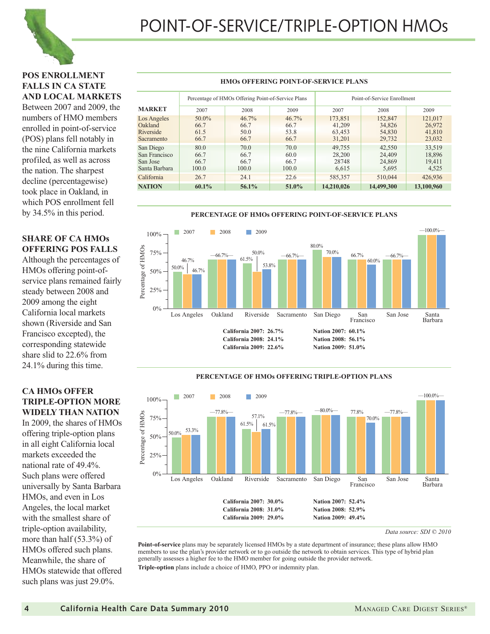

#### **POS ENROLLMENT FALLS IN CA STATE AND LOCAL MARKETS**

Between 2007 and 2009, the numbers of HMO members enrolled in point-of-service (POS) plans fell notably in the nine California markets profiled, as well as across the nation. The sharpest decline (percentagewise) took place in Oakland, in which POS enrollment fell by 34.5% in this period.

#### **SHARE OF CA HMOs OFFERING POS FALLS**

Although the percentages of HMOs offering point-ofservice plans remained fairly steady between 2008 and 2009 among the eight California local markets shown (Riverside and San Francisco excepted), the corresponding statewide share slid to 22.6% from 24.1% during this time.

#### **CA HMOs OFFER TRIPLE-OPTION MORE WIDELY THAN NATION**

In 2009, the shares of HMOs offering triple-option plans in all eight California local markets exceeded the national rate of 49.4%. Such plans were offered universally by Santa Barbara HMOs, and even in Los Angeles, the local market with the smallest share of triple-option availability, more than half (53.3%) of HMOs offered such plans. Meanwhile, the share of HMOs statewide that offered such plans was just 29.0%.

#### **HMOs OFFERING POINT-OF-SERVICE PLANS**

|                                                         |                               | Percentage of HMOs Offering Point-of-Service Plans |                                  | Point-of-Service Enrollment           |                                       |                                       |  |
|---------------------------------------------------------|-------------------------------|----------------------------------------------------|----------------------------------|---------------------------------------|---------------------------------------|---------------------------------------|--|
| <b>MARKET</b>                                           | 2007                          | 2008                                               | 2009                             | 2007                                  | 2008                                  | 2009                                  |  |
| Los Angeles<br>Oakland<br>Riverside<br>Sacramento       | 50.0%<br>66.7<br>61.5<br>66.7 | 46.7%<br>66.7<br>50.0<br>66.7                      | $46.7\%$<br>66.7<br>53.8<br>66.7 | 173,851<br>41,209<br>63,453<br>31,201 | 152,847<br>34,826<br>54,830<br>29,732 | 121,017<br>26,972<br>41,810<br>23,032 |  |
| San Diego<br>San Francisco<br>San Jose<br>Santa Barbara | 80.0<br>66.7<br>66.7<br>100.0 | 70.0<br>66.7<br>66.7<br>100.0                      | 70.0<br>60.0<br>66.7<br>100.0    | 49,755<br>28,200<br>28748<br>6.615    | 42,550<br>24,409<br>24,869<br>5,695   | 33,519<br>18,896<br>19,411<br>4.525   |  |
| California                                              | 26.7                          | 24.1                                               | 22.6                             | 585,357                               | 510,044                               | 426,936                               |  |
| <b>NATION</b>                                           | $60.1\%$                      | 56.1%                                              | 51.0%                            | 14,210,026                            | 14,499,300                            | 13,100,960                            |  |



#### **PERCENTAGE OF HMOs OFFERING TRIPLE-OPTION PLANS**



*Data source: SDI © 2010*

**Point-of-service** plans may be separately licensed HMOs by a state department of insurance; these plans allow HMO members to use the plan's provider network or to go outside the network to obtain services. This type of hybrid plan generally assesses a higher fee to the HMO member for going outside the provider network. **Triple-option** plans include a choice of HMO, PPO or indemnity plan.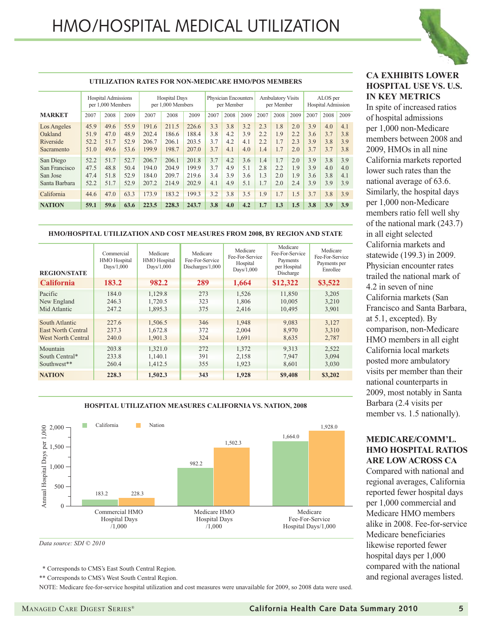

|                                                         | UTILIZATION RATES FOR NON-MEDICARE HMO/POS MEMBERS |                                                 |                              |                                  |                                           |                                  |                                    |                          |                                        |                          |                          |                                       |                          |                          |                          |
|---------------------------------------------------------|----------------------------------------------------|-------------------------------------------------|------------------------------|----------------------------------|-------------------------------------------|----------------------------------|------------------------------------|--------------------------|----------------------------------------|--------------------------|--------------------------|---------------------------------------|--------------------------|--------------------------|--------------------------|
|                                                         |                                                    | <b>Hospital Admissions</b><br>per 1,000 Members |                              |                                  | <b>Hospital Days</b><br>per 1,000 Members |                                  | Physician Encounters<br>per Member |                          | <b>Ambulatory Visits</b><br>per Member |                          |                          | ALOS per<br><b>Hospital Admission</b> |                          |                          |                          |
| <b>MARKET</b>                                           | 2007                                               | 2008                                            | 2009                         | 2007                             | 2008                                      | 2009                             | 2007                               | 2008                     | 2009                                   | 2007                     | 2008                     | 2009                                  | 2007                     | 2008                     | 2009                     |
| Los Angeles<br>Oakland<br>Riverside<br>Sacramento       | 45.9<br>51.9<br>52.2<br>51.0                       | 49.6<br>47.0<br>51.7<br>49.6                    | 55.9<br>48.9<br>52.9<br>53.6 | 191.6<br>202.4<br>206.7<br>199.9 | 211.5<br>186.6<br>206.1<br>198.7          | 226.6<br>188.4<br>203.5<br>207.0 | 3.3<br>3.8<br>3.7<br>3.7           | 3.8<br>4.2<br>4.2<br>4.1 | 3.2<br>3.9<br>4.1<br>4.0               | 2.3<br>2.2<br>2.2<br>1.4 | 1.8<br>1.9<br>1.7<br>1.7 | 2.0<br>2.2<br>2.3<br>2.0              | 3.9<br>3.6<br>3.9<br>3.7 | 4.0<br>3.7<br>3.8<br>3.7 | 4.1<br>3.8<br>3.9<br>3.8 |
| San Diego<br>San Francisco<br>San Jose<br>Santa Barbara | 52.2<br>47.5<br>47.4<br>52.2                       | 51.7<br>48.8<br>51.8<br>51.7                    | 52.7<br>50.4<br>52.9<br>52.9 | 206.7<br>194.0<br>184.0<br>207.2 | 206.1<br>204.9<br>209.7<br>214.9          | 201.8<br>199.9<br>219.6<br>202.9 | 3.7<br>3.7<br>3.4<br>4.1           | 4.2<br>4.9<br>3.9<br>4.9 | 3.6<br>5.1<br>3.6<br>5.1               | 1.4<br>2.8<br>1.3<br>1.7 | 1.7<br>2.2<br>2.0<br>2.0 | 2.0<br>1.9<br>1.9<br>2.4              | 3.9<br>3.9<br>3.6<br>3.9 | 3.8<br>4.0<br>3.8<br>3.9 | 3.9<br>4.0<br>4.1<br>3.9 |
| California                                              | 44.6                                               | 47.0                                            | 63.3                         | 173.9                            | 183.2                                     | 199.3                            | 3.2                                | 3.8                      | 3.5                                    | 1.9                      | 1.7                      | 1.5                                   | 3.7                      | 3.8                      | 3.9                      |
| <b>NATION</b>                                           | 59.1                                               | 59.6                                            | 63.6                         | 223.5                            | 228.3                                     | 243.7                            | 3.8                                | 4.0                      | 4.2                                    | 1.7                      | 1.3                      | 1.5                                   | 3.8                      | 3.9                      | 3.9                      |

#### **HMO/HOSPITAL UTILIZATION AND COST MEASURES FROM 2008, BY REGION AND STATE**

| <b>REGION/STATE</b>       | Commercial<br><b>HMO</b> Hospital<br>Days $/1,000$ | Medicare<br>HMO Hospital<br>Days $/1,000$ | Medicare<br>Fee-For-Service<br>Discharges/1,000 | Medicare<br>Fee-For-Service<br>Hospital<br>Days $/1,000$ | Medicare<br>Fee-For-Service<br>Payments<br>per Hospital<br>Discharge | Medicare<br>Fee-For-Service<br>Payments per<br>Enrollee |
|---------------------------|----------------------------------------------------|-------------------------------------------|-------------------------------------------------|----------------------------------------------------------|----------------------------------------------------------------------|---------------------------------------------------------|
| <b>California</b>         | 183.2                                              | 982.2                                     | 289                                             | 1,664                                                    | \$12,322                                                             | \$3,522                                                 |
| Pacific                   | 184.0                                              | 1,129.8                                   | 273                                             | 1,526                                                    | 11,850                                                               | 3,205                                                   |
| New England               | 246.3                                              | 1,720.5                                   | 323                                             | 1,806                                                    | 10,005                                                               | 3,210                                                   |
| Mid Atlantic              | 247.2                                              | 1,895.3                                   | 375                                             | 2,416                                                    | 10,495                                                               | 3,901                                                   |
| South Atlantic            | 227.6                                              | 1,506.5                                   | 346                                             | 1,948                                                    | 9,083                                                                | 3,127                                                   |
| <b>East North Central</b> | 237.3                                              | 1,672.8                                   | 372                                             | 2,004                                                    | 8,970                                                                | 3,310                                                   |
| <b>West North Central</b> | 240.0                                              | 1,901.3                                   | 324                                             | 1,691                                                    | 8,635                                                                | 2,787                                                   |
| Mountain                  | 203.8                                              | 1,321.0                                   | 272                                             | 1,372                                                    | 9,313                                                                | 2,522                                                   |
| South Central*            | 233.8                                              | 1,140.1                                   | 391                                             | 2,158                                                    | 7,947                                                                | 3,094                                                   |
| Southwest**               | 260.4                                              | 1,412.5                                   | 355                                             | 1,923                                                    | 8,601                                                                | 3,030                                                   |
| <b>NATION</b>             | 228.3                                              | 1,502.3                                   | 343                                             | 1,928                                                    | \$9,408                                                              | \$3,202                                                 |

#### **HOSPITAL UTILIZATION MEASURES CALIFORNIA VS. NATION, 2008**



*Data source: SDI © 2010*

\* Corresponds to CMS's East South Central Region.

\*\* Corresponds to CMS's West South Central Region.

NOTE: Medicare fee-for-service hospital utilization and cost measures were unavailable for 2009, so 2008 data were used.

#### **CA EXHIBITS LOWER HOSPITAL USE VS. U.S. IN KEY METRICS**

In spite of increased ratios of hospital admissions per 1,000 non-Medicare members between 2008 and 2009, HMOs in all nine California markets reported lower such rates than the national average of 63.6. Similarly, the hospital days per 1,000 non-Medicare members ratio fell well shy of the national mark (243.7) in all eight selected California markets and statewide (199.3) in 2009. Physician encounter rates trailed the national mark of 4.2 in seven of nine California markets (San Francisco and Santa Barbara, at 5.1, excepted). By comparison, non-Medicare HMO members in all eight California local markets posted more ambulatory visits per member than their national counterparts in 2009, most notably in Santa Barbara (2.4 visits per member vs. 1.5 nationally).

#### **MEDICARE/COMM'L. HMO HOSPITAL RATIOS ARE LOW ACROSS CA**

Compared with national and regional averages, California reported fewer hospital days per 1,000 commercial and Medicare HMO members alike in 2008. Fee-for-service Medicare beneficiaries likewise reported fewer hospital days per 1,000 compared with the national and regional averages listed.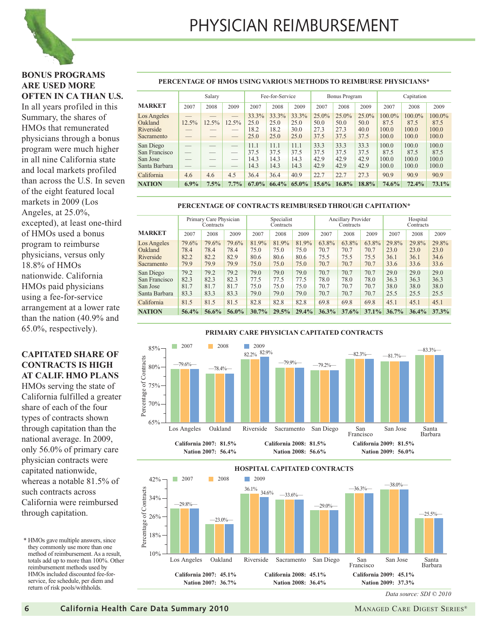

#### **BONUS PROGRAMS ARE USED MORE OFTEN IN CA THAN U.S.**

In all years profiled in this Summary, the shares of HMOs that remunerated physicians through a bonus program were much higher in all nine California state and local markets profiled than across the U.S. In seven of the eight featured local markets in 2009 (Los Angeles, at 25.0%, excepted), at least one-third of HMOs used a bonus program to reimburse physicians, versus only 18.8% of HMOs nationwide. California HMOs paid physicians using a fee-for-service arrangement at a lower rate than the nation (40.9% and 65.0%, respectively).

#### **CAPITATED SHARE OF CONTRACTS IS HIGH AT CALIF. HMO PLANS**

HMOs serving the state of California fulfilled a greater share of each of the four types of contracts shown through capitation than the national average. In 2009, only 56.0% of primary care physician contracts were capitated nationwide, whereas a notable 81.5% of such contracts across California were reimbursed through capitation.

\* HMOs gave multiple answers, since they commonly use more than one method of reimbursement. As a result, totals add up to more than 100%. Other reimbursement methods used by HMOs included discounted fee-forservice, fee schedule, per diem and return of risk pools/withholds.

#### **PERCENTAGE OF HMOs USING VARIOUS METHODS TO REIMBURSE PHYSICIANS\***

|                                                         |             | Salary          |                                                      | Fee-for-Service               |                               |                               |                                  | <b>Bonus Program</b>             |                               |                                     | Capitation                          |                                  |
|---------------------------------------------------------|-------------|-----------------|------------------------------------------------------|-------------------------------|-------------------------------|-------------------------------|----------------------------------|----------------------------------|-------------------------------|-------------------------------------|-------------------------------------|----------------------------------|
| <b>MARKET</b>                                           | 2007        | 2008            | 2009                                                 | 2007                          | 2008                          | 2009                          | 2007                             | 2008                             | 2009                          | 2007                                | 2008                                | 2009                             |
| Los Angeles<br>Oakland<br>Riverside<br>Sacramento       | 12.5%<br>__ | $12.5\%$<br>___ | $12.5\%$<br>$\overline{\phantom{a}}$                 | 33.3%<br>25.0<br>18.2<br>25.0 | 33.3%<br>25.0<br>18.2<br>25.0 | 33.3%<br>25.0<br>30.0<br>25.0 | $25.0\%$<br>50.0<br>27.3<br>37.5 | $25.0\%$<br>50.0<br>27.3<br>37.5 | 25.0%<br>50.0<br>40.0<br>37.5 | $100.0\%$<br>87.5<br>100.0<br>100.0 | $100.0\%$<br>87.5<br>100.0<br>100.0 | 100.0%<br>87.5<br>100.0<br>100.0 |
| San Diego<br>San Francisco<br>San Jose<br>Santa Barbara | __<br>__    | __              | $\overline{\phantom{a}}$<br>$\overline{\phantom{a}}$ | 11.1<br>37.5<br>14.3<br>14.3  | 11.1<br>37.5<br>14.3<br>14.3  | 11.1<br>37.5<br>14.3<br>14.3  | 33.3<br>37.5<br>42.9<br>42.9     | 33.3<br>37.5<br>42.9<br>42.9     | 33.3<br>37.5<br>42.9<br>42.9  | 100.0<br>87.5<br>100.0<br>100.0     | 100.0<br>87.5<br>100.0<br>100.0     | 100.0<br>87.5<br>100.0<br>100.0  |
| California                                              | 4.6         | 4.6             | 4.5                                                  | 36.4                          | 36.4                          | 40.9                          | 22.7                             | 22.7                             | 27.3                          | 90.9                                | 90.9                                | 90.9                             |
| <b>NATION</b>                                           | $6.9\%$     | 7.5%            | $7.7\%$                                              | $67.0\%$                      | $66.4\%$                      | $65.0\%$                      | $15.6\%$                         | 16.8%                            | 18.8%                         | 74.6%                               | 72.4%                               | 73.1%                            |

#### **PERCENTAGE OF CONTRACTS REIMBURSED THROUGH CAPITATION\***

|                                                         |                               | Primary Care Physician<br>Contracts |                               | Specialist<br>Contracts       |                               |                               | Ancillary Provider<br>Contracts |                               |                               | Hospital<br>Contracts         |                               |                               |
|---------------------------------------------------------|-------------------------------|-------------------------------------|-------------------------------|-------------------------------|-------------------------------|-------------------------------|---------------------------------|-------------------------------|-------------------------------|-------------------------------|-------------------------------|-------------------------------|
| <b>MARKET</b>                                           | 2007                          | 2008                                | 2009                          | 2007                          | 2008                          | 2009                          | 2007                            | 2008                          | 2009                          | 2007                          | 2008                          | 2009                          |
| Los Angeles<br>Oakland<br>Riverside<br>Sacramento       | 79.6%<br>78.4<br>82.2<br>79.9 | 79.6%<br>78.4<br>82.2<br>79.9       | 79.6%<br>78.4<br>82.9<br>79.9 | 81.9%<br>75.0<br>80.6<br>75.0 | 81.9%<br>75.0<br>80.6<br>75.0 | 81.9%<br>75.0<br>80.6<br>75.0 | 63.8%<br>70.7<br>75.5<br>70.7   | 63.8%<br>70.7<br>75.5<br>70.7 | 63.8%<br>70.7<br>75.5<br>70.7 | 29.8%<br>23.0<br>36.1<br>33.6 | 29.8%<br>23.0<br>36.1<br>33.6 | 29.8%<br>23.0<br>34.6<br>33.6 |
| San Diego<br>San Francisco<br>San Jose<br>Santa Barbara | 79.2<br>82.3<br>81.7<br>83.3  | 79.2<br>82.3<br>81.7<br>83.3        | 79.2<br>82.3<br>81.7<br>83.3  | 79.0<br>77.5<br>75.0<br>79.0  | 79.0<br>77.5<br>75.0<br>79.0  | 79.0<br>77.5<br>75.0<br>79.0  | 70.7<br>78.0<br>70.7<br>70.7    | 70.7<br>78.0<br>70.7<br>70.7  | 70.7<br>78.0<br>70.7<br>70.7  | 29.0<br>36.3<br>38.0<br>25.5  | 29.0<br>36.3<br>38.0<br>25.5  | 29.0<br>36.3<br>38.0<br>25.5  |
| California                                              | 81.5                          | 81.5                                | 81.5                          | 82.8                          | 82.8                          | 82.8                          | 69.8                            | 69.8                          | 69.8                          | 45.1                          | 45.1                          | 45.1                          |
| <b>NATION</b>                                           | 56.4%                         | 56.6%                               | 56.0%                         | 30.7%                         | 29.5%                         | 29.4%                         | 36.3%                           | 37.6%                         | $37.1\%$                      | $36.7\%$                      | 36.4%                         | 37.3%                         |





*Data source: SDI © 2010*

**6 California Health Care Data Summary 2010** MANAGED CARE DIGEST SERIES®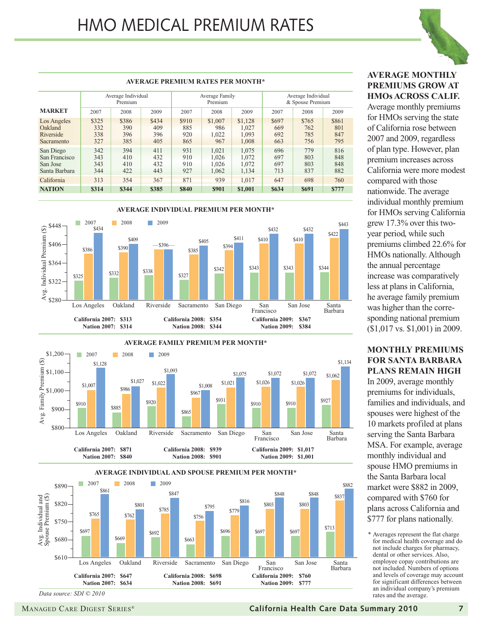

#### Average Individual Premium Average Family Premium Average Individual & Spouse Premium **AVERAGE PREMIUM RATES PER MONTH\* MARKET** Los Angeles \$325 \$386 \$434 \$910 \$1,007 \$1,128 \$697 \$765 \$861 Oakland 332 390 409 885 986 1,027 669 762 801 Riverside 338 396 396 920 1,022 1,093 692 785 847 Sacramento 327 385 405 865 967 1,008 663 756 795 San Diego 342 394 411 931 1,021 1,075 696 779 816 San Francisco 343 410 432 910 1,026 1,072 697 803 848<br>San Jose 343 410 432 910 1,026 1,072 697 803 848 San Jose 343 410 432 910 1,026 1,072 697 803 848 Santa Barbara | 344 | 422 | 443 | 927 | 1,062 | 1,134 | 713 | 837 | 882 California 313 354 367 871 939 1,017 647 698 760 **NATION \$314 \$344 \$385 \$840 \$901 \$1,001 \$634 \$691 \$777** 2007 2008 2009 2007 2008 2009 2007 2008 2009







#### **AVERAGE MONTHLY PREMIUMS GROW AT HMOs ACROSS CALIF.**

Average monthly premiums for HMOs serving the state of California rose between 2007 and 2009, regardless of plan type. However, plan premium increases across California were more modest compared with those nationwide. The average individual monthly premium for HMOs serving California grew 17.3% over this twoyear period, while such premiums climbed 22.6% for HMOs nationally. Although the annual percentage increase was comparatively less at plans in California, he average family premium was higher than the corresponding national premium (\$1,017 vs. \$1,001) in 2009.

#### **MONTHLY PREMIUMS FOR SANTA BARBARA PLANS REMAIN HIGH**

In 2009, average monthly premiums for individuals, families and individuals, and spouses were highest of the 10 markets profiled at plans serving the Santa Barbara MSA. For example, average monthly individual and spouse HMO premiums in the Santa Barbara local market were \$882 in 2009, compared with \$760 for plans across California and \$777 for plans nationally.

\* Averages represent the flat charge for medical health coverage and do not include charges for pharmacy, dental or other services. Also, employee copay contributions are not included. Numbers of options and levels of coverage may account for significant differences between an individual company's premium rates and the average.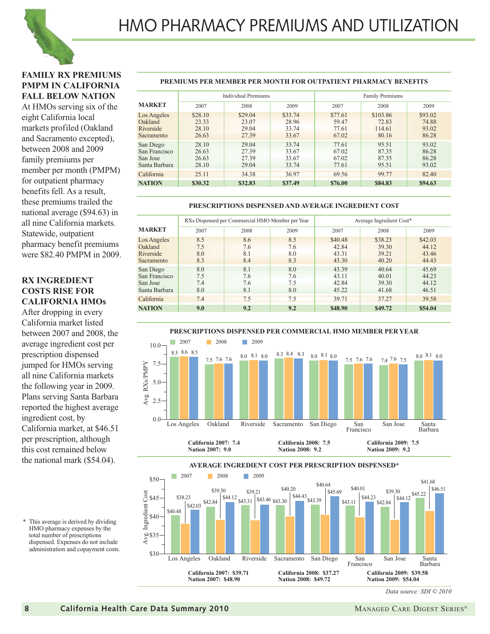

#### **FAMILY RX PREMIUMS PMPM IN CALIFORNIA FALL BELOW NATION**

At HMOs serving six of the eight California local markets profiled (Oakland and Sacramento excepted), between 2008 and 2009 family premiums per member per month (PMPM) for outpatient pharmacy benefits fell. As a result, these premiums trailed the national average (\$94.63) in all nine California markets. Statewide, outpatient pharmacy benefit premiums were \$82.40 PMPM in 2009.

#### **RX INGREDIENT COSTS RISE FOR CALIFORNIA HMOs**

After dropping in every California market listed between 2007 and 2008, the average ingredient cost per prescription dispensed jumped for HMOs serving all nine California markets the following year in 2009. Plans serving Santa Barbara reported the highest average ingredient cost, by California market, at \$46.51 per prescription, although this cost remained below the national mark (\$54.04).

\* This average is derived by dividing HMO pharmacy expenses by the total number of prescriptions dispensed. Expenses do not include administration and copayment costs.

#### **PREMIUMS PER MEMBER PER MONTH FOR OUTPATIENT PHARMACY BENEFITS**

|                                                         |                                    | <b>Individual Premiums</b>         |                                    | <b>Family Premiums</b>             |                                      |                                    |  |
|---------------------------------------------------------|------------------------------------|------------------------------------|------------------------------------|------------------------------------|--------------------------------------|------------------------------------|--|
| <b>MARKET</b>                                           | 2007                               | 2008                               | 2009                               | 2007                               | 2008                                 | 2009                               |  |
| Los Angeles<br>Oakland<br>Riverside<br>Sacramento       | \$28.10<br>23.33<br>28.10<br>26.63 | \$29.04<br>23.07<br>29.04<br>27.39 | \$33.74<br>28.96<br>33.74<br>33.67 | \$77.61<br>59.47<br>77.61<br>67.02 | \$103.86<br>72.83<br>114.61<br>80.16 | \$93.02<br>74.88<br>93.02<br>86.28 |  |
| San Diego<br>San Francisco<br>San Jose<br>Santa Barbara | 28.10<br>26.63<br>26.63<br>28.10   | 29.04<br>27.39<br>27.39<br>29.04   | 33.74<br>33.67<br>33.67<br>33.74   | 77.61<br>67.02<br>67.02<br>77.61   | 95.51<br>87.35<br>87.35<br>95.51     | 93.02<br>86.28<br>86.28<br>93.02   |  |
| California                                              | 25.11                              | 34.38                              | 36.97                              | 69.56                              | 99.77                                | 82.40                              |  |
| <b>NATION</b>                                           | \$30.32                            | \$32.83                            | \$37.49                            | \$76.00                            | \$84.83                              | \$94.63                            |  |

#### **PRESCRIPTIONS DISPENSED AND AVERAGE INGREDIENT COST**

|                                                         |                          | RXs Dispensed per Commercial HMO Member per Year |                          | Average Ingredient Cost*           |                                    |                                    |  |
|---------------------------------------------------------|--------------------------|--------------------------------------------------|--------------------------|------------------------------------|------------------------------------|------------------------------------|--|
| <b>MARKET</b>                                           | 2007                     | 2008                                             | 2009                     | 2007                               | 2008                               | 2009                               |  |
| Los Angeles<br>Oakland<br>Riverside<br>Sacramento       | 8.5<br>7.5<br>8.0<br>8.3 | 8.6<br>7.6<br>8.1<br>8.4                         | 8.5<br>7.6<br>8.0<br>8.3 | \$40.48<br>42.84<br>43.31<br>43.30 | \$38.23<br>39.30<br>39.21<br>40.20 | \$42.03<br>44.12<br>43.46<br>44.43 |  |
| San Diego<br>San Francisco<br>San Jose<br>Santa Barbara | 8.0<br>7.5<br>7.4<br>8.0 | 8.1<br>7.6<br>7.6<br>8.1                         | 8.0<br>7.6<br>7.5<br>8.0 | 43.39<br>43.11<br>42.84<br>45.22   | 40.64<br>40.01<br>39.30<br>41.68   | 45.69<br>44.23<br>44.12<br>46.51   |  |
| California                                              | 7.4                      | 7.5                                              | 7.5                      | 39.71                              | 37.27                              | 39.58                              |  |
| <b>NATION</b>                                           | 9.0                      | 9.2                                              | 9.2                      | \$48.90                            | \$49.72                            | \$54.04                            |  |



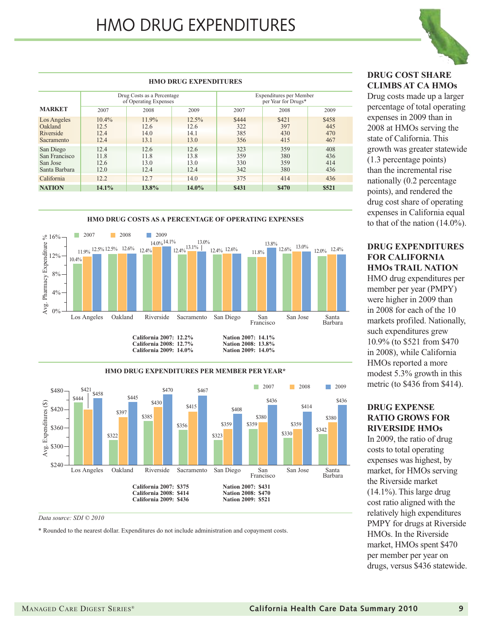

#### **DRUG COST SHARE CLIMBS AT CA HMOs**

Drug costs made up a larger percentage of total operating expenses in 2009 than in 2008 at HMOs serving the state of California. This growth was greater statewide (1.3 percentage points) than the incremental rise nationally (0.2 percentage points), and rendered the drug cost share of operating expenses in California equal to that of the nation (14.0%).

#### **DRUG EXPENDITURES FOR CALIFORNIA HMOs TRAIL NATION**

HMO drug expenditures per member per year (PMPY) were higher in 2009 than in 2008 for each of the 10 markets profiled. Nationally, such expenditures grew 10.9% (to \$521 from \$470 in 2008), while California HMOs reported a more modest 5.3% growth in this metric (to \$436 from \$414).

#### **DRUG EXPENSE RATIO GROWS FOR RIVERSIDE HMOs**

In 2009, the ratio of drug costs to total operating expenses was highest, by market, for HMOs serving the Riverside market  $(14.1\%)$ . This large drug cost ratio aligned with the relatively high expenditures PMPY for drugs at Riverside HMOs. In the Riverside market, HMOs spent \$470 per member per year on drugs, versus \$436 statewide.

#### **HMO DRUG EXPENDITURES**

|                                                         |                                  | Drug Costs as a Percentage<br>of Operating Expenses |                                  | Expenditures per Member<br>per Year for Drugs* |                            |                            |  |
|---------------------------------------------------------|----------------------------------|-----------------------------------------------------|----------------------------------|------------------------------------------------|----------------------------|----------------------------|--|
| <b>MARKET</b>                                           | 2007                             | 2008                                                | 2009                             | 2007                                           | 2008                       | 2009                       |  |
| Los Angeles<br>Oakland<br>Riverside<br>Sacramento       | $10.4\%$<br>12.5<br>12.4<br>12.4 | $11.9\%$<br>12.6<br>14.0<br>13.1                    | $12.5\%$<br>12.6<br>14.1<br>13.0 | \$444<br>322<br>385<br>356                     | \$421<br>397<br>430<br>415 | \$458<br>445<br>470<br>467 |  |
| San Diego<br>San Francisco<br>San Jose<br>Santa Barbara | 12.4<br>11.8<br>12.6<br>12.0     | 12.6<br>11.8<br>13.0<br>12.4                        | 12.6<br>13.8<br>13.0<br>12.4     | 323<br>359<br>330<br>342                       | 359<br>380<br>359<br>380   | 408<br>436<br>414<br>436   |  |
| California                                              | 12.2                             | 12.7                                                | 14.0                             | 375                                            | 414                        | 436                        |  |
| <b>NATION</b>                                           | 14.1%                            | 13.8%                                               | $14.0\%$                         | \$431                                          | \$470                      | \$521                      |  |







*Data source: SDI © 2010*

\* Rounded to the nearest dollar. Expenditures do not include administration and copayment costs.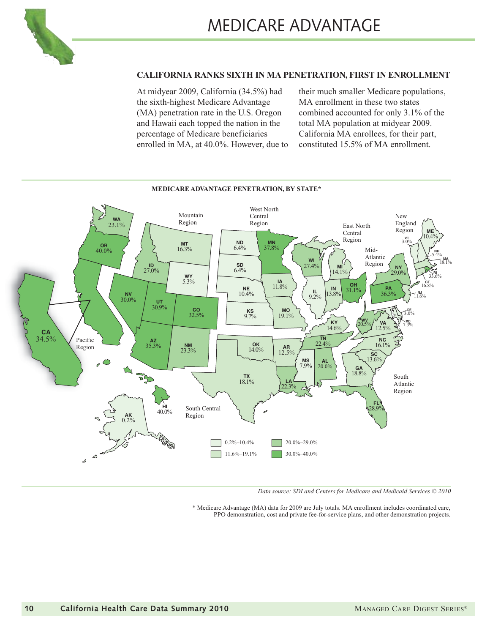

#### **CALIFORNIA RANKS SIXTH IN MA PENETRATION, FIRST IN ENROLLMENT**

At midyear 2009, California (34.5%) had the sixth-highest Medicare Advantage (MA) penetration rate in the U.S. Oregon and Hawaii each topped the nation in the percentage of Medicare beneficiaries enrolled in MA, at 40.0%. However, due to their much smaller Medicare populations, MA enrollment in these two states combined accounted for only 3.1% of the total MA population at midyear 2009. California MA enrollees, for their part, constituted 15.5% of MA enrollment.



**MEDICARE ADVANTAGE PENETRATION, BY STATE\***

*Data source: SDI and Centers for Medicare and Medicaid Services © 2010*

\* Medicare Advantage (MA) data for 2009 are July totals. MA enrollment includes coordinated care, PPO demonstration, cost and private fee-for-service plans, and other demonstration projects.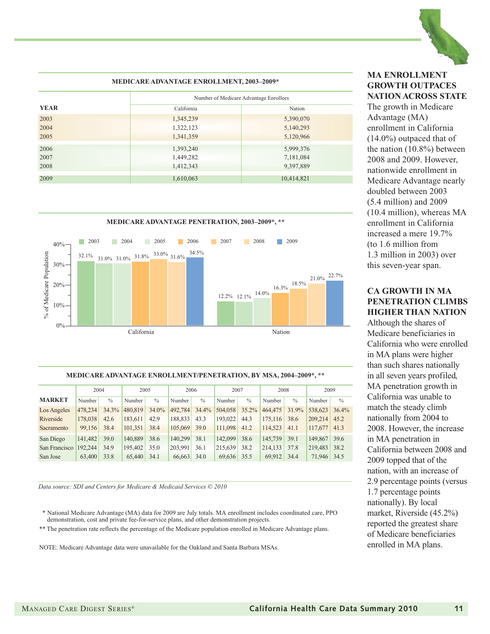

|             | <b>MEDICARE ADVANTAGE ENROLLMENT, 2003-2009*</b> |            |  |  |  |  |  |  |
|-------------|--------------------------------------------------|------------|--|--|--|--|--|--|
|             | Number of Medicare Advantage Enrollees           |            |  |  |  |  |  |  |
| <b>YEAR</b> | California                                       | Nation     |  |  |  |  |  |  |
| 2003        | 1,345,239                                        | 5,390,070  |  |  |  |  |  |  |
| 2004        | 1,322,123                                        | 5,140,293  |  |  |  |  |  |  |
| 2005        | 1,341,359                                        | 5,120,966  |  |  |  |  |  |  |
| 2006        | 1,393,240                                        | 5,999,376  |  |  |  |  |  |  |
| 2007        | 1,449,282                                        | 7,181,084  |  |  |  |  |  |  |
| 2008        | 1,412,343                                        | 9,397,889  |  |  |  |  |  |  |
| 2009        | 1,610,063                                        | 10,414,821 |  |  |  |  |  |  |



#### **MEDICARE ADVANTAGE ENROLLMENT/PENETRATION, BY MSA, 2004–2009\*, \*\***

|               | 2004    |               | 2005    |               | 2006    |               | 2007    |             | 2008    |               | 2009    |             |
|---------------|---------|---------------|---------|---------------|---------|---------------|---------|-------------|---------|---------------|---------|-------------|
| <b>MARKET</b> | Number  | $\frac{0}{0}$ | Number  | $\frac{0}{0}$ | Number  | $\frac{0}{0}$ | Number  | $^{0}/_{0}$ | Number  | $\frac{0}{0}$ | Number  | $^{0}/_{0}$ |
| Los Angeles   | 478,234 | $34.3\%$      | 480,819 | 34.0%         | 492,784 | 34.4%         | 504,058 | $35.2\%$    | 464,475 | 31.9%         | 538,623 | 36.4%       |
| Riverside     | 178,038 | 42.6          | 183.611 | 42.9          | 188,833 | 43.3          | 193,022 | 44.3        | 175,116 | 38.6          | 209,214 | 45.2        |
| Sacramento    | 99,156  | 38.4          | 101.351 | 38.4          | 105,069 | 39.0          | 111,098 | 41.2        | 114,523 | 41.1          | 117,677 | 41.3        |
| San Diego     | 141.482 | 39.0          | 140,889 | 38.6          | 140,299 | 38.1          | 142,099 | 38.6        | 145,739 | 39.1          | 149,867 | 39.6        |
| San Francisco | 192,244 | 34.9          | 195,402 | 35.0          | 203.991 | 36.1          | 215.639 | 38.2        | 214,133 | 37.8          | 219,483 | 38.2        |
| San Jose      | 63,400  | 33.8          | 65,440  | 34.1          | 66,663  | 34.0          | 69,636  | 35.5        | 69,912  | 34.4          | 71,946  | 34.5        |

*Data source: SDI and Centers for Medicare & Medicaid Services © 2010*

- \* National Medicare Advantage (MA) data for 2009 are July totals. MA enrollment includes coordinated care, PPO demonstration, cost and private fee-for-service plans, and other demonstration projects.
- \*\* The penetration rate reflects the percentage of the Medicare population enrolled in Medicare Advantage plans.

NOTE: Medicare Advantage data were unavailable for the Oakland and Santa Barbara MSAs.

#### **MA ENROLLMENT GROWTH OUTPACES NATION ACROSS STATE**

The growth in Medicare Advantage (MA) enrollment in California (14.0%) outpaced that of the nation (10.8%) between 2008 and 2009. However, nationwide enrollment in Medicare Advantage nearly doubled between 2003 (5.4 million) and 2009 (10.4 million), whereas MA enrollment in California increased a mere 19.7% (to 1.6 million from 1.3 million in 2003) over this seven-year span.

#### **CA GROWTH IN MA PENETRATION CLIMBS HIGHER THAN NATION**

Although the shares of Medicare beneficiaries in California who were enrolled in MA plans were higher than such shares nationally in all seven years profiled, MA penetration growth in California was unable to match the steady climb nationally from 2004 to 2008. However, the increase in MA penetration in California between 2008 and 2009 topped that of the nation, with an increase of 2.9 percentage points (versus 1.7 percentage points nationally). By local market, Riverside (45.2%) reported the greatest share of Medicare beneficiaries enrolled in MA plans.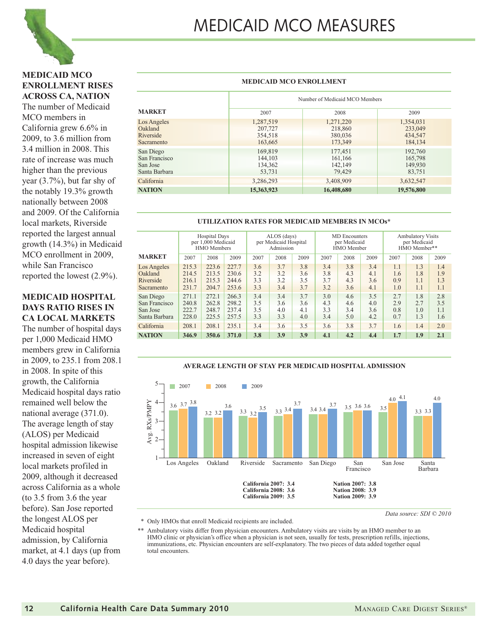

## MEDICAID MCO MEASURES

#### **MEDICAID MCO ENROLLMENT RISES ACROSS CA, NATION**

The number of Medicaid MCO members in California grew 6.6% in 2009, to 3.6 million from 3.4 million in 2008. This rate of increase was much higher than the previous year (3.7%), but far shy of the notably 19.3% growth nationally between 2008 and 2009. Of the California local markets, Riverside reported the largest annual growth (14.3%) in Medicaid MCO enrollment in 2009, while San Francisco reported the lowest (2.9%).

#### **MEDICAID HOSPITAL DAYS RATIO RISES IN CA LOCAL MARKETS**

The number of hospital days per 1,000 Medicaid HMO members grew in California in 2009, to 235.1 from 208.1 in 2008. In spite of this growth, the California Medicaid hospital days ratio remained well below the national average (371.0). The average length of stay (ALOS) per Medicaid hospital admission likewise increased in seven of eight local markets profiled in 2009, although it decreased across California as a whole (to 3.5 from 3.6 the year before). San Jose reported the longest ALOS per Medicaid hospital admission, by California market, at 4.1 days (up from 4.0 days the year before).

#### Number of Medicaid MCO Members **MARKET** Los Angeles 1,287,519 1,271,220 1,354,031 20 1,354,031 218,860 1,354,031 Oakland 207,727 218,860 233,049 Riverside 354,518 380,036 434,547 Sacramento 163,665 173,349 184,134 San Diego 169,819 169,819 177,451 192,760 San Francisco 144,103 161,166 165,798<br>
San Jose 134,362 142,149 149,930 San Jose 134,362 142,149 149,930 Santa Barbara 53,731 79,429 83,751 83,751 California 1912 1286,293 3,286,293 3,408,909 3,632,547 **NATION 16,408,680** 19,576,800 19,576,800 2007 2008 2009

**MEDICAID MCO ENROLLMENT**

#### **UTILIZATION RATES FOR MEDICAID MEMBERS IN MCOs\***

|                                                         | <b>Hospital Days</b><br>per 1,000 Medicaid<br>HMO Members |                                  |                                  | ALOS (days)<br>per Medicaid Hospital<br>Admission |                          |                          |                          | <b>MD</b> Encounters<br>per Medicaid<br>HMO Member |                          | <b>Ambulatory Visits</b><br>per Medicaid<br>HMO Member** |                          |                          |
|---------------------------------------------------------|-----------------------------------------------------------|----------------------------------|----------------------------------|---------------------------------------------------|--------------------------|--------------------------|--------------------------|----------------------------------------------------|--------------------------|----------------------------------------------------------|--------------------------|--------------------------|
| MARKET                                                  | 2007                                                      | 2008                             | 2009                             | 2007                                              | 2008                     | 2009                     | 2007                     | 2008                                               | 2009                     | 2007                                                     | 2008                     | 2009                     |
| Los Angeles<br>Oakland<br>Riverside<br>Sacramento       | 215.3<br>214.5<br>216.1<br>231.7                          | 223.6<br>213.5<br>215.3<br>204.7 | 227.7<br>230.6<br>244.6<br>253.6 | 3.6<br>3.2<br>3.3<br>3.3                          | 3.7<br>3.2<br>3.2<br>3.4 | 3.8<br>3.6<br>3.5<br>3.7 | 3.4<br>3.8<br>3.7<br>3.2 | 3.8<br>4.3<br>4.3<br>3.6                           | 3.4<br>4.1<br>3.6<br>4.1 | 1.1<br>1.6<br>0.9<br>1.0                                 | 1.3<br>1.8<br>1.1<br>1.1 | 1.4<br>1.9<br>1.3<br>1.1 |
| San Diego<br>San Francisco<br>San Jose<br>Santa Barbara | 271.1<br>240.8<br>222.7<br>228.0                          | 272.1<br>262.8<br>248.7<br>225.5 | 266.3<br>298.2<br>237.4<br>257.5 | 3.4<br>3.5<br>3.5<br>3.3                          | 3.4<br>3.6<br>4.0<br>3.3 | 3.7<br>3.6<br>4.1<br>4.0 | 3.0<br>4.3<br>3.3<br>3.4 | 4.6<br>4.6<br>3.4<br>5.0                           | 3.5<br>4.0<br>3.6<br>4.2 | 2.7<br>2.9<br>0.8<br>0.7                                 | 1.8<br>2.7<br>1.0<br>1.3 | 2.8<br>3.5<br>1.1<br>1.6 |
| California                                              | 208.1<br>235.1<br>208.1                                   |                                  | 3.4                              | 3.6                                               | 3.5                      | 3.6                      | 3.8                      | 3.7                                                | 1.6                      | 1.4                                                      | 2.0                      |                          |
| <b>NATION</b>                                           | 346.9                                                     | 350.6<br>371.0                   |                                  |                                                   | 3.9                      | 3.9                      | 4.1                      | 4.2                                                | 4.4                      | 1.7                                                      | 1.9                      | 2.1                      |
|                                                         |                                                           |                                  |                                  | 3.8                                               |                          |                          |                          |                                                    |                          |                                                          |                          |                          |

#### 5 **2007** 2008 2009 4.0  $4.1$ 4.0 3.6 3.7 3.8 Avg. RXs/PMPY Avg. RXs/PMPY 4 3.7  $3.5 \t3.6 \t3.6 \t3.5$ 3.6 3.5 3.3 3.4 3.4 3.4 3.3 3.3 3.3 3.2 3.2 3.2 3  $\mathcal{L}$ 1 Los Angeles Oakland Riverside Sacramento San Diego San Francisco San Jose Santa Barbara **California 2007: 3.4 Nation 2007: 3.8 California 2008: 3.6 Nation 2008: 3.9** California 2009: 3.5

**AVERAGE LENGTH OF STAY PER MEDICAID HOSPITAL ADMISSION**

\* Only HMOs that enroll Medicaid recipients are included.

\*\* Ambulatory visits differ from physician encounters. Ambulatory visits are visits by an HMO member to an HMO clinic or physician's office when a physician is not seen, usually for tests, prescription refills, injections, immunizations, etc. Physician encounters are self-explanatory. The two pieces of data added together equal total encounters.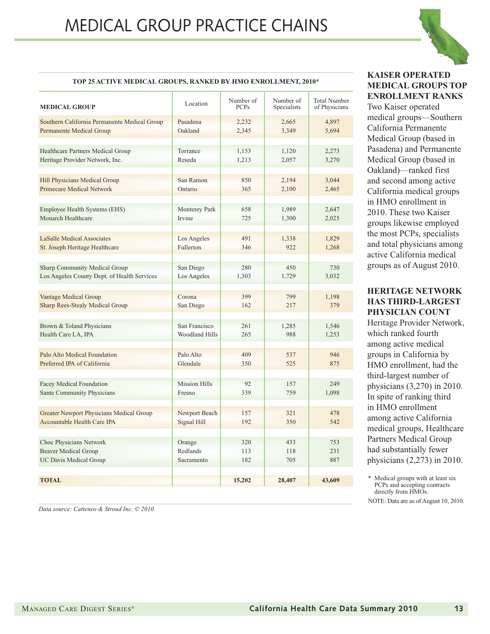

#### **TOP 25 ACTIVE MEDICAL GROUPS, RANKED BY HMO ENROLLMENT, 2010\***

| <b>MEDICAL GROUP</b>                            | Location              | Number of<br><b>PCPs</b> | Number of<br>Specialists | <b>Total Number</b><br>of Physicians |
|-------------------------------------------------|-----------------------|--------------------------|--------------------------|--------------------------------------|
| Southern California Permanente Medical Group    | Pasadena              | 2,232                    | 2,665                    | 4,897                                |
| <b>Permanente Medical Group</b>                 | Oakland               | 2,345                    | 3,349                    | 5,694                                |
| Healthcare Partners Medical Group               | Torrance              | 1,153                    | 1,120                    | 2,273                                |
| Heritage Provider Network, Inc.                 | Reseda                | 1,213                    | 2,057                    | 3,270                                |
| <b>Hill Physicians Medical Group</b>            | San Ramon             | 850                      | 2,194                    | 3,044                                |
| <b>Primecare Medical Network</b>                | Ontario               | 365                      | 2,100                    | 2,465                                |
| Employee Health Systems (EHS)                   | Monterey Park         | 658                      | 1,989                    | 2,647                                |
| Monarch Healthcare                              | Irvine                | 725                      | 1,300                    | 2,025                                |
| <b>LaSalle Medical Associates</b>               | Los Angeles           | 491                      | 1,338                    | 1,829                                |
| St. Joseph Heritage Healthcare                  | Fullerton             | 346                      | 922                      | 1,268                                |
| <b>Sharp Community Medical Group</b>            | San Diego             | 280                      | 450                      | 730                                  |
| Los Angeles County Dept. of Health Services     | Los Angeles           | 1,303                    | 1,729                    | 3,032                                |
| Vantage Medical Group                           | Corona                | 399                      | 799                      | 1,198                                |
| <b>Sharp Rees-Stealy Medical Group</b>          | San Diego             | 162                      | 217                      | 379                                  |
| Brown & Toland Physicians                       | San Francisco         | 261                      | 1,285                    | 1,546                                |
| Health Care LA, IPA                             | <b>Woodland Hills</b> | 265                      | 988                      | 1,253                                |
| Palo Alto Medical Foundation                    | Palo Alto             | 409                      | 537                      | 946                                  |
| Preferred IPA of California                     | Glendale              | 350                      | 525                      | 875                                  |
| <b>Facey Medical Foundation</b>                 | <b>Mission Hills</b>  | 92                       | 157                      | 249                                  |
| Sante Community Physicians                      | Fresno                | 339                      | 759                      | 1,098                                |
| <b>Greater Newport Physicians Medical Group</b> | Newport Beach         | 157                      | 321                      | 478                                  |
| <b>Accountable Health Care IPA</b>              | Signal Hill           | 192                      | 350                      | 542                                  |
| Choc Physicians Network                         | Orange                | 320                      | 433                      | 753                                  |
| <b>Beaver Medical Group</b>                     | Redlands              | 113                      | 118                      | 231                                  |
| <b>UC Davis Medical Group</b>                   | Sacramento            | 182                      | 705                      | 887                                  |
| <b>TOTAL</b>                                    |                       | 15,202                   | 28,407                   | 43,609                               |

*Data source: Catteneo & Stroud Inc. © 2010*

#### **KAISER OPERATED MEDICAL GROUPS TOP ENROLLMENT RANKS**

Two Kaiser operated medical groups—Southern California Permanente Medical Group (based in Pasadena) and Permanente Medical Group (based in Oakland)—ranked first and second among active California medical groups in HMO enrollment in 2010. These two Kaiser groups likewise employed the most PCPs, specialists and total physicians among active California medical groups as of August 2010.

#### **HERITAGE NETWORK HAS THIRD-LARGEST PHYSICIAN COUNT**

Heritage Provider Network, which ranked fourth among active medical groups in California by HMO enrollment, had the third-largest number of physicians (3,270) in 2010. In spite of ranking third in HMO enrollment among active California medical groups, Healthcare Partners Medical Group had substantially fewer physicians (2,273) in 2010.

\* Medical groups with at least six PCPs and accepting contracts directly from HMOs. NOTE: Data are as of August 10, 2010.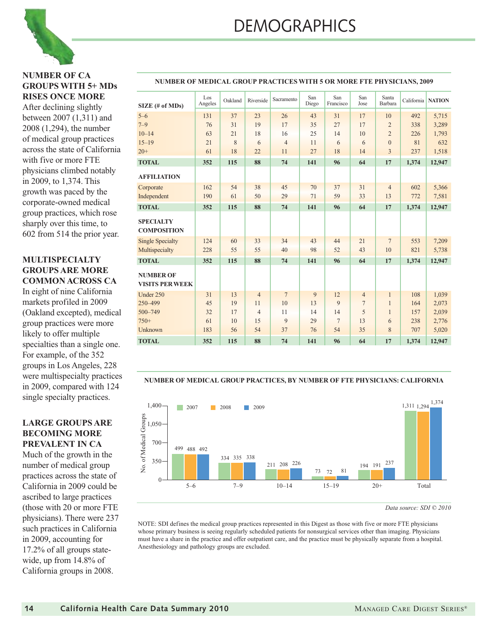#### **NUMBER OF CA GROUPS WITH 5+ MDs RISES ONCE MORE**

After declining slightly between 2007 (1,311) and 2008 (1,294), the number of medical group practices across the state of California with five or more FTE physicians climbed notably in 2009, to 1,374. This growth was paced by the corporate-owned medical group practices, which rose sharply over this time, to 602 from 514 the prior year.

#### **MULTISPECIALTY GROUPS ARE MORE COMMON ACROSS CA**

In eight of nine California markets profiled in 2009 (Oakland excepted), medical group practices were more likely to offer multiple specialties than a single one. For example, of the 352 groups in Los Angeles, 228 were multispecialty practices in 2009, compared with 124 single specialty practices.

#### **LARGE GROUPS ARE BECOMING MORE PREVALENT IN CA**

Much of the growth in the number of medical group practices across the state of California in 2009 could be ascribed to large practices (those with 20 or more FTE physicians). There were 237 such practices in California in 2009, accounting for 17.2% of all groups statewide, up from 14.8% of California groups in 2008.

| $SIZE$ (# of MDs)                          | Los<br>Angeles | Oakland | Riverside      | Sacramento     | San<br>Diego | San<br>Francisco | San<br>Jose    | Santa<br><b>Barbara</b> |       | California NATION |
|--------------------------------------------|----------------|---------|----------------|----------------|--------------|------------------|----------------|-------------------------|-------|-------------------|
| $5 - 6$                                    | 131            | 37      | 23             | 26             | 43           | 31               | 17             | 10                      | 492   | 5,715             |
| $7 - 9$                                    | 76             | 31      | 19             | 17             | 35           | 27               | 17             | $\overline{2}$          | 338   | 3,289             |
| $10 - 14$                                  | 63             | 21      | 18             | 16             | 25           | 14               | 10             | $\overline{2}$          | 226   | 1,793             |
| $15 - 19$                                  | 21             | 8       | 6              | $\overline{4}$ | 11           | 6                | 6              | $\overline{0}$          | 81    | 632               |
| $20+$                                      | 61             | 18      | 22             | 11             | 27           | 18               | 14             | 3                       | 237   | 1,518             |
| <b>TOTAL</b>                               | 352            | 115     | 88             | 74             | 141          | 96               | 64             | 17                      | 1,374 | 12,947            |
| <b>AFFILIATION</b>                         |                |         |                |                |              |                  |                |                         |       |                   |
| Corporate                                  | 162            | 54      | 38             | 45             | 70           | 37               | 31             | $\overline{4}$          | 602   | 5,366             |
| Independent                                | 190            | 61      | 50             | 29             | 71           | 59               | 33             | 13                      | 772   | 7,581             |
| <b>TOTAL</b>                               | 352            | 115     | 88             | 74             | 141          | 96               | 64             | 17                      | 1,374 | 12,947            |
| <b>SPECIALTY</b><br><b>COMPOSITION</b>     |                |         |                |                |              |                  |                |                         |       |                   |
| <b>Single Specialty</b>                    | 124            | 60      | 33             | 34             | 43           | 44               | 21             | $7\overline{ }$         | 553   | 7,209             |
| Multispecialty                             | 228            | 55      | 55             | 40             | 98           | 52               | 43             | 10                      | 821   | 5,738             |
| <b>TOTAL</b>                               | 352            | 115     | 88             | 74             | 141          | 96               | 64             | 17                      | 1,374 | 12,947            |
| <b>NUMBER OF</b><br><b>VISITS PER WEEK</b> |                |         |                |                |              |                  |                |                         |       |                   |
| Under 250                                  | 31             | 13      | $\overline{4}$ | $\overline{7}$ | 9            | 12               | $\overline{4}$ | 1                       | 108   | 1,039             |
| 250-499                                    | 45             | 19      | 11             | 10             | 13           | 9                | 7              | 1                       | 164   | 2,073             |
| 500-749                                    | 32             | 17      | $\overline{4}$ | 11             | 14           | 14               | 5              | 1                       | 157   | 2,039             |
| $750+$                                     | 61             | 10      | 15             | 9              | 29           | $\overline{7}$   | 13             | 6                       | 238   | 2,776             |
| Unknown                                    | 183            | 56      | 54             | 37             | 76           | 54               | 35             | 8                       | 707   | 5,020             |
| <b>TOTAL</b>                               | 352            | 115     | 88             | 74             | 141          | 96               | 64             | 17                      | 1,374 | 12,947            |

#### **NUMBER OF MEDICAL GROUP PRACTICES WITH 5 OR MORE FTE PHYSICIANS, 2009**

#### **NUMBER OF MEDICAL GROUP PRACTICES, BY NUMBER OF FTE PHYSICIANS: CALIFORNIA**



*Data source: SDI © 2010*

NOTE: SDI defines the medical group practices represented in this Digest as those with five or more FTE physicians whose primary business is seeing regularly scheduled patients for nonsurgical services other than imaging. Physicians must have a share in the practice and offer outpatient care, and the practice must be physically separate from a hospital. Anesthesiology and pathology groups are excluded.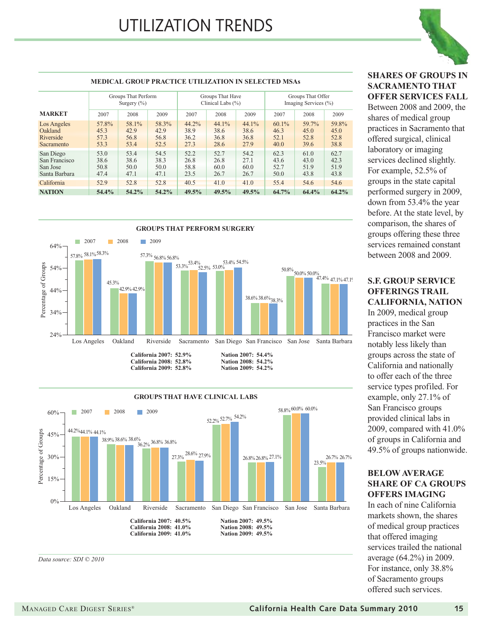

#### **SHARES OF GROUPS IN SACRAMENTO THAT OFFER SERVICES FALL**

Between 2008 and 2009, the shares of medical group practices in Sacramento that offered surgical, clinical laboratory or imaging services declined slightly. For example, 52.5% of groups in the state capital performed surgery in 2009, down from 53.4% the year before. At the state level, by comparison, the shares of groups offering these three services remained constant between 2008 and 2009.

### **S.F. GROUP SERVICE OFFERINGS TRAIL**

**CALIFORNIA, NATION** In 2009, medical group practices in the San Francisco market were notably less likely than groups across the state of California and nationally to offer each of the three service types profiled. For example, only 27.1% of San Francisco groups provided clinical labs in 2009, compared with 41.0% of groups in California and 49.5% of groups nationwide.

#### **BELOW AVERAGE SHARE OF CA GROUPS OFFERS IMAGING**

In each of nine California markets shown, the shares of medical group practices that offered imaging services trailed the national average (64.2%) in 2009. For instance, only 38.8% of Sacramento groups offered such services.

#### **MEDICAL GROUP PRACTICE UTILIZATION IN SELECTED MSAs**

|                                                         |                                   | Groups That Perform<br>Surgery $(\%)$ |                               |                               | Groups That Have<br>Clinical Labs $(\% )$ |                               | Groups That Offer<br>Imaging Services (%) |                               |                               |  |
|---------------------------------------------------------|-----------------------------------|---------------------------------------|-------------------------------|-------------------------------|-------------------------------------------|-------------------------------|-------------------------------------------|-------------------------------|-------------------------------|--|
| <b>MARKET</b>                                           | 2007<br>2008                      |                                       | 2009                          | 2007                          | 2008                                      | 2009                          | 2007                                      | 2008                          | 2009                          |  |
| Los Angeles<br>Oakland<br>Riverside<br>Sacramento       | 57.8%<br>45.3<br>57.3<br>53.3     | 58.1%<br>42.9<br>56.8<br>53.4         | 58.3%<br>42.9<br>56.8<br>52.5 | 44.2%<br>38.9<br>36.2<br>27.3 | 44.1%<br>38.6<br>36.8<br>28.6             | 44.1%<br>38.6<br>36.8<br>27.9 | $60.1\%$<br>46.3<br>52.1<br>40.0          | 59.7%<br>45.0<br>52.8<br>39.6 | 59.8%<br>45.0<br>52.8<br>38.8 |  |
| San Diego<br>San Francisco<br>San Jose<br>Santa Barbara | 53.0<br>38.6<br>50.8<br>47.4      | 53.4<br>38.6<br>50.0<br>47.1          | 54.5<br>38.3<br>50.0<br>47.1  | 52.2<br>26.8<br>58.8<br>23.5  | 52.7<br>26.8<br>60.0<br>26.7              | 54.2<br>27.1<br>60.0<br>26.7  | 62.3<br>43.6<br>52.7<br>50.0              | 61.0<br>43.0<br>51.9<br>43.8  | 62.7<br>42.3<br>51.9<br>43.8  |  |
| California<br><b>NATION</b>                             | 52.8<br>52.9<br>54.4%<br>$54.2\%$ |                                       | 52.8<br>54.2%                 | 40.5<br>49.5%                 | 41.0<br>49.5%                             | 41.0<br>49.5%                 | 55.4<br>64.7%                             | 54.6<br>64.4%                 | 54.6<br>64.2%                 |  |



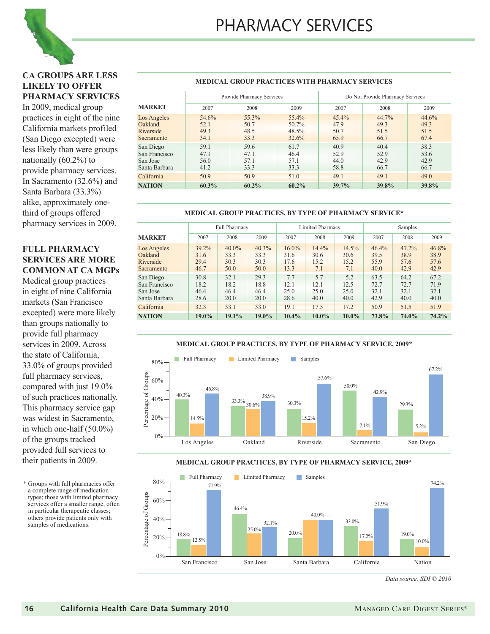

#### **CA GROUPS ARE LESS LIKELY TO OFFER PHARMACY SERVICES**

In 2009, medical group practices in eight of the nine California markets profiled (San Diego excepted) were less likely than were groups nationally (60.2%) to provide pharmacy services. In Sacramento (32.6%) and Santa Barbara (33.3%) alike, approximately onethird of groups offered pharmacy services in 2009.

#### **FULL PHARMACY SERVICES ARE MORE COMMON AT CA MGPs**

Medical group practices in eight of nine California markets (San Francisco excepted) were more likely than groups nationally to provide full pharmacy services in 2009. Across the state of California, 33.0% of groups provided full pharmacy services, compared with just 19.0% of such practices nationally. This pharmacy service gap was widest in Sacramento, in which one-half (50.0%) of the groups tracked provided full services to their patients in 2009.

\* Groups with full pharmacies offer a complete range of medication types; those with limited pharmacy services offer a smaller range, often in particular therapeutic classes; others provide patients only with samples of medications.

#### **MEDICAL GROUP PRACTICES WITH PHARMACY SERVICES**

|                                                         |                               | Provide Pharmacy Services     |                                        | Do Not Provide Pharmacy Services |                                  |                               |  |  |  |
|---------------------------------------------------------|-------------------------------|-------------------------------|----------------------------------------|----------------------------------|----------------------------------|-------------------------------|--|--|--|
| <b>MARKET</b>                                           | 2007                          | 2008                          | 2009                                   | 2007                             | 2008                             | 2009                          |  |  |  |
| Los Angeles<br>Oakland<br>Riverside<br>Sacramento       | 54.6%<br>52.1<br>49.3<br>34.1 | 55.3%<br>50.7<br>48.5<br>33.3 | $55.4\%$<br>50.7%<br>$48.5\%$<br>32.6% | $45.4\%$<br>47.9<br>50.7<br>65.9 | $44.7\%$<br>49.3<br>51.5<br>66.7 | 44.6%<br>49.3<br>51.5<br>67.4 |  |  |  |
| San Diego<br>San Francisco<br>San Jose<br>Santa Barbara | 59.1<br>47.1<br>56.0<br>41.2  | 59.6<br>47.1<br>57.1<br>33.3  | 61.7<br>46.4<br>57.1<br>33.3           | 40.9<br>52.9<br>44.0<br>58.8     | 40.4<br>52.9<br>42.9<br>66.7     | 38.3<br>53.6<br>42.9<br>66.7  |  |  |  |
| California                                              | 50.9                          | 50.9                          | 51.0                                   | 49.1                             | 49.1                             | 49.0                          |  |  |  |
| <b>NATION</b>                                           | 60.3%                         | $60.2\%$                      | $60.2\%$                               | 39.7%                            | 39.8%                            | 39.8%                         |  |  |  |

#### **MEDICAL GROUP PRACTICES, BY TYPE OF PHARMACY SERVICE\***

|                                                         |                                  | Full Pharmacy                    |                               |                                  | <b>Limited Pharmacy</b>      |                              | Samples                       |                               |                               |  |
|---------------------------------------------------------|----------------------------------|----------------------------------|-------------------------------|----------------------------------|------------------------------|------------------------------|-------------------------------|-------------------------------|-------------------------------|--|
| <b>MARKET</b>                                           | 2008<br>2009<br>2007             |                                  |                               | 2007                             | 2008                         | 2009                         | 2007                          | 2008                          | 2009                          |  |
| Los Angeles<br>Oakland<br>Riverside<br>Sacramento       | $39.2\%$<br>31.6<br>29.4<br>46.7 | $40.0\%$<br>33.3<br>30.3<br>50.0 | 40.3%<br>33.3<br>30.3<br>50.0 | $16.0\%$<br>31.6<br>17.6<br>13.3 | 14.4%<br>30.6<br>15.2<br>7.1 | 14.5%<br>30.6<br>15.2<br>7.1 | 46.4%<br>39.5<br>55.9<br>40.0 | 47.2%<br>38.9<br>57.6<br>42.9 | 46.8%<br>38.9<br>57.6<br>42.9 |  |
| San Diego<br>San Francisco<br>San Jose<br>Santa Barbara | 30.8<br>18.2<br>46.4<br>28.6     | 32.1<br>18.2<br>46.4<br>20.0     | 29.3<br>18.8<br>46.4<br>20.0  | 7.7<br>12.1<br>25.0<br>28.6      | 5.7<br>12.1<br>25.0<br>40.0  | 5.2<br>12.5<br>25.0<br>40.0  | 63.5<br>72.7<br>32.1<br>42.9  | 64.2<br>72.7<br>32.1<br>40.0  | 67.2<br>71.9<br>32.1<br>40.0  |  |
| California                                              | 32.3                             | 33.1                             | 33.0                          | 19.1                             | 17.5                         | 17.2                         | 50.9                          | 51.5                          | 51.9                          |  |
| <b>NATION</b>                                           | $19.0\%$<br>19.1%<br>$19.0\%$    |                                  |                               | $10.4\%$                         | $10.0\%$                     | $10.0\%$                     | 73.8%                         | 74.0%                         | 74.2%                         |  |

#### **MEDICAL GROUP PRACTICES, BY TYPE OF PHARMACY SERVICE, 2009\***



#### **MEDICAL GROUP PRACTICES, BY TYPE OF PHARMACY SERVICE, 2009\***

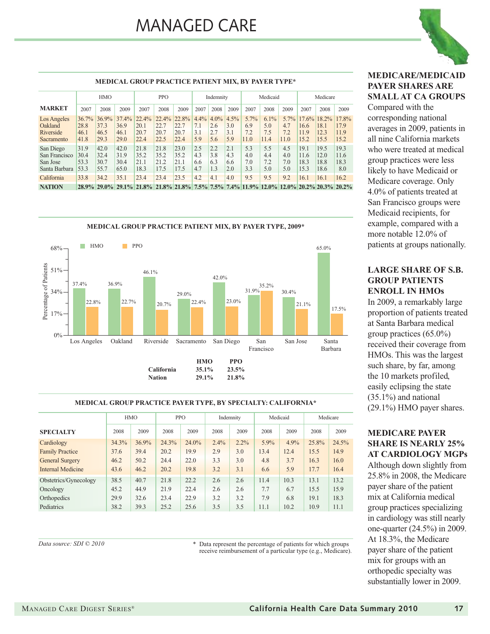

#### **MEDICAL GROUP PRACTICE PATIENT MIX, BY PAYER TYPE\***

|                                                         | <b>HMO</b>                    |                               | <b>PPO</b>                    |                                                                                                | Indemnity                     |                               | Medicaid                  |                              |                           | Medicare                   |                            |                               |                               |                                  |                               |
|---------------------------------------------------------|-------------------------------|-------------------------------|-------------------------------|------------------------------------------------------------------------------------------------|-------------------------------|-------------------------------|---------------------------|------------------------------|---------------------------|----------------------------|----------------------------|-------------------------------|-------------------------------|----------------------------------|-------------------------------|
| <b>MARKET</b>                                           | 2007                          | 2008                          | 2009                          | 2007                                                                                           | 2008                          | 2009                          | 2007                      | 2008                         | 2009                      | 2007                       | 2008                       | 2009                          | 2007                          | 2008                             | 2009                          |
| Los Angeles<br>Oakland<br>Riverside<br>Sacramento       | 36.7%<br>28.8<br>46.1<br>41.8 | 36.9%<br>37.3<br>46.5<br>29.3 | 37.4%<br>36.9<br>46.1<br>29.0 | 22.4%<br>20.1<br>20.7<br>22.4                                                                  | 22.4%<br>22.7<br>20.7<br>22.5 | 22.8%<br>22.7<br>20.7<br>22.4 | 4.4%<br>7.1<br>3.1<br>5.9 | $4.0\%$<br>2.6<br>2.7<br>5.6 | 4.5%<br>3.0<br>3.1<br>5.9 | 5.7%<br>6.9<br>7.2<br>11.0 | 6.1%<br>5.0<br>7.5<br>11.4 | $5.7\%$<br>4.7<br>7.2<br>11.0 | 17.6%<br>16.6<br>11.9<br>15.2 | $18.2\%$<br>18.1<br>12.3<br>15.5 | 17.8%<br>17.9<br>11.9<br>15.2 |
| San Diego<br>San Francisco<br>San Jose<br>Santa Barbara | 31.9<br>30.4<br>53.3<br>53.3  | 42.0<br>32.4<br>30.7<br>55.7  | 42.0<br>31.9<br>30.4<br>65.0  | 21.8<br>35.2<br>21.1<br>18.3                                                                   | 21.8<br>35.2<br>21.2<br>17.5  | 23.0<br>35.2<br>21.1<br>17.5  | 2.5<br>4.3<br>6.6<br>4.7  | 2.2<br>3.8<br>6.3<br>1.3     | 2.1<br>4.3<br>6.6<br>2.0  | 5.3<br>4.0<br>7.0<br>3.3   | 5.5<br>4.4<br>7.2<br>5.0   | 4.5<br>4.0<br>7.0<br>5.0      | 19.1<br>11.6<br>18.3<br>15.3  | 19.5<br>12.0<br>18.8<br>18.6     | 19.3<br>11.6<br>18.3<br>8.0   |
| California<br><b>NATION</b>                             | 33.8                          | 34.2                          | 35.1                          | 23.4<br>28.9% 29.0% 29.1% 21.8% 21.8% 21.8% 7.5% 7.5% 7.4% 11.9% 12.0% 12.0% 20.2% 20.3% 20.2% | 23.4                          | 23.5                          | 4.2                       | 4.1                          | 4.0                       | 9.5                        | 9.5                        | 9.2                           | 16.1                          | 16.1                             | 16.2                          |



#### **MEDICAL GROUP PRACTICE PAYER TYPE, BY SPECIALTY: CALIFORNIA\***

|                        |          | <b>HMO</b> | <b>PPO</b> |       | Indemnity |         | Medicaid |         | Medicare |       |
|------------------------|----------|------------|------------|-------|-----------|---------|----------|---------|----------|-------|
| <b>SPECIALTY</b>       | 2008     | 2009       | 2008       | 2009  | 2008      | 2009    | 2008     | 2009    | 2008     | 2009  |
| Cardiology             | $34.3\%$ | 36.9%      | 24.3%      | 24.0% | 2.4%      | $2.2\%$ | $5.9\%$  | $4.9\%$ | 25.8%    | 24.5% |
| <b>Family Practice</b> | 37.6     | 39.4       | 20.2       | 19.9  | 2.9       | 3.0     | 13.4     | 12.4    | 15.5     | 14.9  |
| <b>General Surgery</b> | 46.2     | 50.2       | 24.4       | 22.0  | 3.3       | 3.0     | 4.8      | 3.7     | 16.3     | 16.0  |
| Internal Medicine      | 43.6     | 46.2       | 20.2       | 19.8  | 3.2       | 3.1     | 6.6      | 5.9     | 17.7     | 16.4  |
| Obstetrics/Gynecology  | 38.5     | 40.7       | 21.8       | 22.2  | 2.6       | 2.6     | 11.4     | 10.3    | 13.1     | 13.2  |
| Oncology               | 45.2     | 44.9       | 21.9       | 22.4  | 2.6       | 2.6     | 7.7      | 6.7     | 15.5     | 15.9  |
| Orthopedics            | 29.9     | 32.6       | 23.4       | 22.9  | 3.2       | 3.2     | 7.9      | 6.8     | 19.1     | 18.3  |
| Pediatrics             | 38.2     | 39.3       | 25.2       | 25.6  | 3.5       | 3.5     | 11.1     | 10.2    | 10.9     | 11.1  |

*Data source: SDI © 2010*

\* Data represent the percentage of patients for which groups receive reimbursement of a particular type (e.g., Medicare).

#### **MEDICARE/MEDICAID PAYER SHARES ARE SMALL AT CA GROUPS**

Compared with the corresponding national averages in 2009, patients in all nine California markets who were treated at medical group practices were less likely to have Medicaid or Medicare coverage. Only 4.0% of patients treated at San Francisco groups were Medicaid recipients, for example, compared with a more notable 12.0% of patients at groups nationally.

#### **LARGE SHARE OF S.B. GROUP PATIENTS ENROLL IN HMOs**

In 2009, a remarkably large proportion of patients treated at Santa Barbara medical group practices (65.0%) received their coverage from HMOs. This was the largest such share, by far, among the 10 markets profiled, easily eclipsing the state (35.1%) and national (29.1%) HMO payer shares.

#### **MEDICARE PAYER SHARE IS NEARLY 25% AT CARDIOLOGY MGPs**

Although down slightly from 25.8% in 2008, the Medicare payer share of the patient mix at California medical group practices specializing in cardiology was still nearly one-quarter (24.5%) in 2009. At 18.3%, the Medicare payer share of the patient mix for groups with an orthopedic specialty was substantially lower in 2009.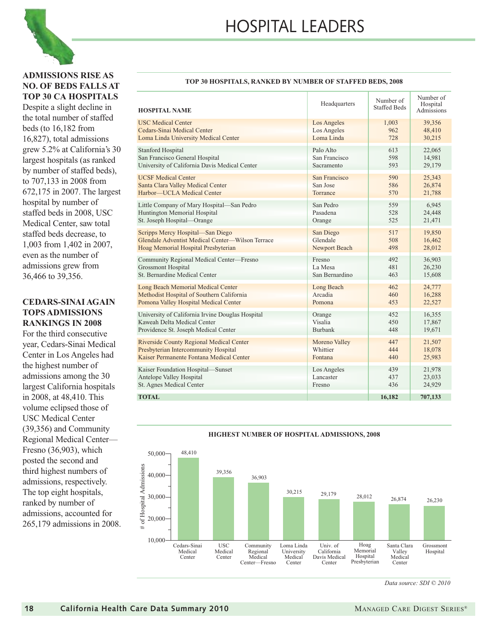



#### **ADMISSIONS RISE AS NO. OF BEDS FALLS AT TOP 30 CA HOSPITALS**

Despite a slight decline in the total number of staffed beds (to 16,182 from 16,827), total admissions grew 5.2% at California's 30 largest hospitals (as ranked by number of staffed beds), to 707,133 in 2008 from 672,175 in 2007. The largest hospital by number of staffed beds in 2008, USC Medical Center, saw total staffed beds decrease, to 1,003 from 1,402 in 2007, even as the number of admissions grew from 36,466 to 39,356.

#### **CEDARS-SINAI AGAIN TOPS ADMISSIONS RANKINGS IN 2008**

For the third consecutive year, Cedars-Sinai Medical Center in Los Angeles had the highest number of admissions among the 30 largest California hospitals in 2008, at 48,410. This volume eclipsed those of USC Medical Center (39,356) and Community Regional Medical Center— Fresno (36,903), which posted the second and third highest numbers of admissions, respectively. The top eight hospitals, ranked by number of admissions, accounted for 265,179 admissions in 2008.

#### **TOP 30 HOSPITALS, RANKED BY NUMBER OF STAFFED BEDS, 2008**

| <b>HOSPITAL NAME</b>                             | Headquarters   | Number of<br><b>Staffed Beds</b> | Number of<br>Hospital<br>Admissions |
|--------------------------------------------------|----------------|----------------------------------|-------------------------------------|
| <b>USC Medical Center</b>                        | Los Angeles    | 1,003                            | 39,356                              |
| Cedars-Sinai Medical Center                      | Los Angeles    | 962                              | 48,410                              |
| Loma Linda University Medical Center             | Loma Linda     | 728                              | 30,215                              |
| <b>Stanford Hospital</b>                         | Palo Alto      | 613                              | 22,065                              |
| San Francisco General Hospital                   | San Francisco  | 598                              | 14,981                              |
| University of California Davis Medical Center    | Sacramento     | 593                              | 29,179                              |
| <b>UCSF</b> Medical Center                       | San Francisco  | 590                              | 25,343                              |
| Santa Clara Valley Medical Center                | San Jose       | 586                              | 26,874                              |
| Harbor-UCLA Medical Center                       | Torrance       | 570                              | 21,788                              |
| Little Company of Mary Hospital-San Pedro        | San Pedro      | 559                              | 6,945                               |
| Huntington Memorial Hospital                     | Pasadena       | 528                              | 24,448                              |
| St. Joseph Hospital-Orange                       | Orange         | 525                              | 21,471                              |
| Scripps Mercy Hospital-San Diego                 | San Diego      | 517                              | 19,850                              |
| Glendale Adventist Medical Center—Wilson Terrace | Glendale       | 508                              | 16,462                              |
| Hoag Memorial Hospital Presbyterian              | Newport Beach  | 498                              | 28,012                              |
| Community Regional Medical Center-Fresno         | Fresno         | 492                              | 36,903                              |
| <b>Grossmont Hospital</b>                        | La Mesa        | 481                              | 26,230                              |
| St. Bernardine Medical Center                    | San Bernardino | 463                              | 15,608                              |
| Long Beach Memorial Medical Center               | Long Beach     | 462                              | 24,777                              |
| Methodist Hospital of Southern California        | Arcadia        | 460                              | 16,288                              |
| Pomona Valley Hospital Medical Center            | Pomona         | 453                              | 22,527                              |
| University of California Irvine Douglas Hospital | Orange         | 452                              | 16,355                              |
| Kaweah Delta Medical Center                      | Visalia        | 450                              | 17,867                              |
| Providence St. Joseph Medical Center             | <b>Burbank</b> | 448                              | 19,671                              |
| <b>Riverside County Regional Medical Center</b>  | Moreno Valley  | 447                              | 21,507                              |
| Presbyterian Intercommunity Hospital             | Whittier       | 444                              | 18,078                              |
| Kaiser Permanente Fontana Medical Center         | Fontana        | 440                              | 25,983                              |
| Kaiser Foundation Hospital-Sunset                | Los Angeles    | 439                              | 21,978                              |
| Antelope Valley Hospital                         | Lancaster      | 437                              | 23,033                              |
| St. Agnes Medical Center                         | Fresno         | 436                              | 24,929                              |
| <b>TOTAL</b>                                     |                | 16.182                           | 707,133                             |



#### **HIGHEST NUMBER OF HOSPITAL ADMISSIONS, 2008**

*Data source: SDI © 2010*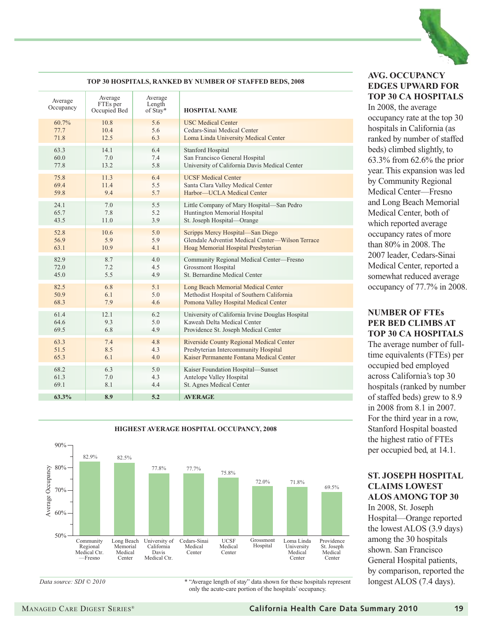

#### **TOP 30 HOSPITALS, RANKED BY NUMBER OF STAFFED BEDS, 2008**

| Average<br>Occupancy | Average<br>FTEs per<br>Occupied Bed | Average<br>Length<br>of Stay* | <b>HOSPITAL NAME</b>                             |
|----------------------|-------------------------------------|-------------------------------|--------------------------------------------------|
| 60.7%                | 10.8                                | 5.6                           | <b>USC</b> Medical Center                        |
| 77.7                 | 10.4                                | 5.6                           | Cedars-Sinai Medical Center                      |
| 71.8                 | 12.5                                | 6.3                           | Loma Linda University Medical Center             |
| 63.3                 | 14.1                                | 6.4                           | <b>Stanford Hospital</b>                         |
| 60.0                 | 7.0                                 | 7.4                           | San Francisco General Hospital                   |
| 77.8                 | 13.2                                | 5.8                           | University of California Davis Medical Center    |
| 75.8                 | 11.3                                | 6.4                           | <b>UCSF</b> Medical Center                       |
| 69.4                 | 11.4                                | 5.5                           | Santa Clara Valley Medical Center                |
| 59.8                 | 9.4                                 | 5.7                           | Harbor-UCLA Medical Center                       |
| 24.1                 | 7.0                                 | 5.5                           | Little Company of Mary Hospital-San Pedro        |
| 65.7                 | 7.8                                 | 5.2                           | Huntington Memorial Hospital                     |
| 43.5                 | 11.0                                | 3.9                           | St. Joseph Hospital-Orange                       |
| 52.8                 | 10.6                                | 5.0                           | Scripps Mercy Hospital-San Diego                 |
| 56.9                 | 5.9                                 | 5.9                           | Glendale Adventist Medical Center—Wilson Terrace |
| 63.1                 | 10.9                                | 4.1                           | Hoag Memorial Hospital Presbyterian              |
| 82.9                 | 8.7                                 | 4.0                           | Community Regional Medical Center-Fresno         |
| 72.0                 | 7.2                                 | 4.5                           | <b>Grossmont Hospital</b>                        |
| 45.0                 | 5.5                                 | 4.9                           | St. Bernardine Medical Center                    |
| 82.5                 | 6.8                                 | 5.1                           | Long Beach Memorial Medical Center               |
| 50.9                 | 6.1                                 | 5.0                           | Methodist Hospital of Southern California        |
| 68.3                 | 7.9                                 | 4.6                           | Pomona Valley Hospital Medical Center            |
| 61.4                 | 12.1                                | 6.2                           | University of California Irvine Douglas Hospital |
| 64.6                 | 9.3                                 | 5.0                           | Kaweah Delta Medical Center                      |
| 69.5                 | 6.8                                 | 4.9                           | Providence St. Joseph Medical Center             |
| 63.3                 | 7.4                                 | 4.8                           | Riverside County Regional Medical Center         |
| 51.5                 | 8.5                                 | 4.3                           | Presbyterian Intercommunity Hospital             |
| 65.3                 | 6.1                                 | 4.0                           | Kaiser Permanente Fontana Medical Center         |
| 68.2                 | 6.3                                 | 5.0                           | Kaiser Foundation Hospital-Sunset                |
| 61.3                 | 7.0                                 | 4.3                           | Antelope Valley Hospital                         |
| 69.1                 | 8.1                                 | 4.4                           | St. Agnes Medical Center                         |
| $63.3\%$             | 8.9                                 | 5.2                           |                                                  |

#### **AVG. OCCUPANCY EDGES UPWARD FOR TOP 30 CA HOSPITALS**

In 2008, the average occupancy rate at the top 30 hospitals in California (as ranked by number of staffed beds) climbed slightly, to 63.3% from 62.6% the prior year. This expansion was led by Community Regional Medical Center—Fresno and Long Beach Memorial Medical Center, both of which reported average occupancy rates of more than 80% in 2008. The 2007 leader, Cedars-Sinai Medical Center, reported a somewhat reduced average occupancy of 77.7% in 2008.

#### **NUMBER OF FTEs PER BED CLIMBS AT TOP 30 CA HOSPITALS**

The average number of fulltime equivalents (FTEs) per occupied bed employed across California's top 30 hospitals (ranked by number of staffed beds) grew to 8.9 in 2008 from 8.1 in 2007. For the third year in a row, Stanford Hospital boasted the highest ratio of FTEs per occupied bed, at 14.1.

#### **ST. JOSEPH HOSPITAL CLAIMS LOWEST ALOS AMONG TOP 30**

In 2008, St. Joseph Hospital—Orange reported the lowest ALOS (3.9 days) among the 30 hospitals shown. San Francisco General Hospital patients, by comparison, reported the longest ALOS (7.4 days).



**HIGHEST AVERAGE HOSPITAL OCCUPANCY, 2008**

*Data source: SDI*  $\odot$  2010 \* "Average length of stay" data shown for these hospitals represent only the acute-care portion of the hospitals' occupancy.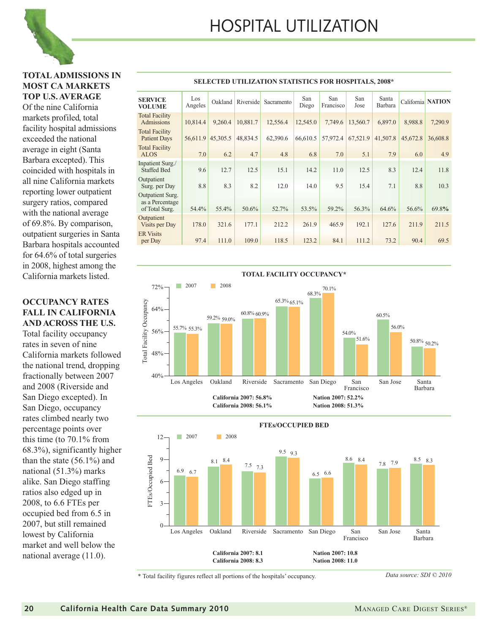**SELECTED UTILIZATION STATISTICS FOR HOSPITALS, 2008\*** 

#### **TOTAL ADMISSIONS IN MOST CA MARKETS TOP U.S. AVERAGE**

Of the nine California markets profiled, total facility hospital admissions exceeded the national average in eight (Santa Barbara excepted). This coincided with hospitals in all nine California markets reporting lower outpatient surgery ratios, compared with the national average of 69.8%. By comparison, outpatient surgeries in Santa Barbara hospitals accounted for 64.6% of total surgeries in 2008, highest among the California markets listed.

#### **OCCUPANCY RATES FALL IN CALIFORNIA AND ACROSS THE U.S.**

Total facility occupancy rates in seven of nine California markets followed the national trend, dropping fractionally between 2007 and 2008 (Riverside and San Diego excepted). In San Diego, occupancy rates climbed nearly two percentage points over this time (to 70.1% from 68.3%), significantly higher than the state (56.1%) and national (51.3%) marks alike. San Diego staffing ratios also edged up in 2008, to 6.6 FTEs per occupied bed from 6.5 in 2007, but still remained lowest by California market and well below the national average (11.0).

| <b>SERVICE</b><br>VOLUME                                     | Los<br>Angeles | Oakland  | Riverside | Sacramento | San<br>Diego | San<br>Francisco | San<br>Jose | Santa<br>Barbara |          | California NATION |
|--------------------------------------------------------------|----------------|----------|-----------|------------|--------------|------------------|-------------|------------------|----------|-------------------|
| <b>Total Facility</b><br>Admissions                          | 10,814.4       | 9.260.4  | 10,881.7  | 12,556.4   | 12,545.0     | 7,749.6          | 13,560.7    | 6,897.0          | 8,988.8  | 7,290.9           |
| <b>Total Facility</b><br><b>Patient Days</b>                 | 56,611.9       | 45,305.5 | 48,834.5  | 62,390.6   | 66,610.5     | 57,972.4         | 67,521.9    | 41,507.8         | 45,672.8 | 36,608.8          |
| <b>Total Facility</b><br><b>ALOS</b>                         | 7.0            | 6.2      | 4.7       | 4.8        | 6.8          | 7.0              | 5.1         | 7.9              | 6.0      | 4.9               |
| Inpatient Surg./<br><b>Staffed Bed</b>                       | 9.6            | 12.7     | 12.5      | 15.1       | 14.2         | 11.0             | 12.5        | 8.3              | 12.4     | 11.8              |
| Outpatient<br>Surg. per Day                                  | 8.8            | 8.3      | 8.2       | 12.0       | 14.0         | 9.5              | 15.4        | 7.1              | 8.8      | 10.3              |
| <b>Outpatient Surg.</b><br>as a Percentage<br>of Total Surg. | 54.4%          | 55.4%    | 50.6%     | 52.7%      | 53.5%        | 59.2%            | 56.3%       | 64.6%            | 56.6%    | 69.8%             |
| Outpatient<br>Visits per Day                                 | 178.0          | 321.6    | 177.1     | 212.2      | 261.9        | 465.9            | 192.1       | 127.6            | 211.9    | 211.5             |
| <b>ER Visits</b>                                             |                |          |           |            |              |                  |             |                  |          |                   |
| per Day                                                      | 97.4           | 111.0    | 109.0     | 118.5      | 123.2        | 84.1             | 111.2       | 73.2             | 90.4     | 69.5              |





\* Total facility figures reflect all portions of the hospitals' occupancy.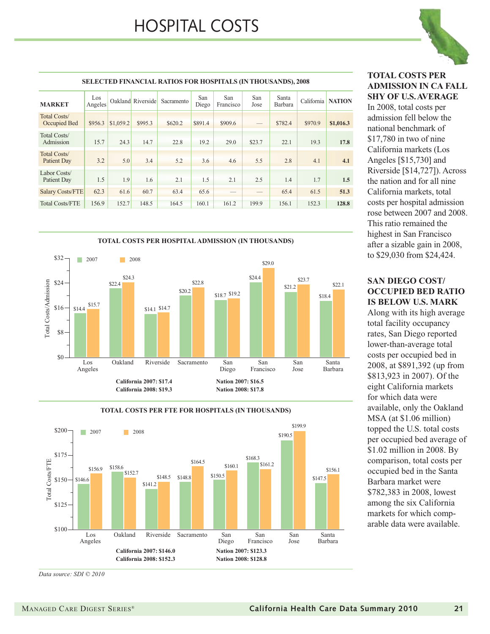

#### **SELECTED FINANCIAL RATIOS FOR HOSPITALS (IN THOUSANDS), 2008** Oakland Riverside Sacramento San San San San Santa California Diego San Jose Santa Barbara San Los Oakland Riverside Sacramento San San San San Santa California NATION Los<br>Angeles **MARKET** Total Costs/ Occupied Bed \$956.3 \$1,059.2 \$995.3 \$620.2 \$891.4 \$909.6 - \$782.4 \$970.9 **\$1,016.3** Total Costs/ Admission 15.7 24.3 14.7 22.8 19.2 29.0 \$23.7 22.1 19.3 **17.8** Total Costs/ Patient Day 3.2 5.0 3.4 5.2 3.6 4.6 5.5 2.8 4.1 4.1 Labor Costs/ Patient Day 1.5 1.9 1.6 2.1 1.5 2.1 2.5 1.4 1.7 1.5 Salary Costs/FTE 62.3 61.6 60.7 63.4 65.6 — — 65.4 61.5 **51.3** Total Costs/FTE 156.9 152.7 148.5 164.5 160.1 161.2 199.9 156.1 152.3 **128.8**



#### **TOTAL COSTS PER FTE FOR HOSPITALS (IN THOUSANDS)**



*Data source: SDI © 2010*

**TOTAL COSTS PER ADMISSION IN CA FALL SHY OF U.S. AVERAGE**

In 2008, total costs per admission fell below the national benchmark of \$17,780 in two of nine California markets (Los Angeles [\$15,730] and Riverside [\$14,727]). Across the nation and for all nine California markets, total costs per hospital admission rose between 2007 and 2008. This ratio remained the highest in San Francisco after a sizable gain in 2008, to \$29,030 from \$24,424.

#### **SAN DIEGO COST/ OCCUPIED BED RATIO IS BELOW U.S. MARK**

Along with its high average total facility occupancy rates, San Diego reported lower-than-average total costs per occupied bed in 2008, at \$891,392 (up from \$813,923 in 2007). Of the eight California markets for which data were available, only the Oakland MSA (at \$1.06 million) topped the U.S. total costs per occupied bed average of \$1.02 million in 2008. By comparison, total costs per occupied bed in the Santa Barbara market were \$782,383 in 2008, lowest among the six California markets for which comparable data were available.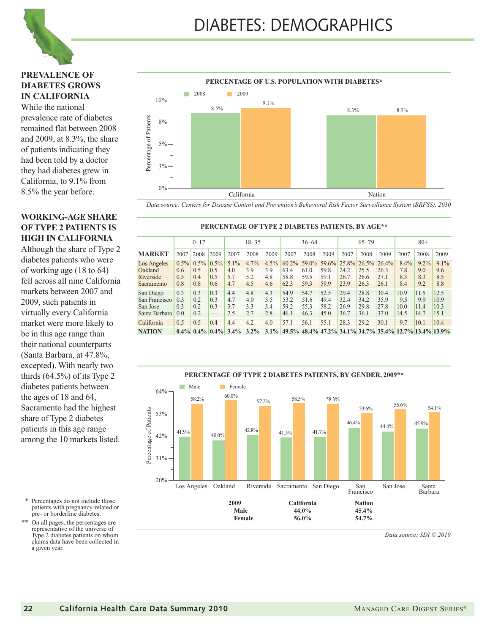

#### **PREVALENCE OF DIABETES GROWS IN CALIFORNIA**

While the national prevalence rate of diabetes remained flat between 2008 and 2009, at 8.3%, the share of patients indicating they had been told by a doctor they had diabetes grew in California, to 9.1% from 8.5% the year before.

#### **WORKING-AGE SHARE OF TYPE 2 PATIENTS IS HIGH IN CALIFORNIA**

Although the share of Type 2 diabetes patients who were of working age (18 to 64) fell across all nine California markets between 2007 and 2009, such patients in virtually every California market were more likely to be in this age range than their national counterparts (Santa Barbara, at 47.8%, excepted). With nearly two thirds  $(64.5\%)$  of its Type 2 diabetes patients between the ages of 18 and 64, Sacramento had the highest share of Type 2 diabetes patients in this age range among the 10 markets listed.

- \* Percentages do not include those patients with pregnancy-related or pre- or borderline diabetes.
- \*\* On all pages, the percentages are representative of the universe of Type 2 diabetes patients on whom claims data have been collected in a given year.



*Data source: Centers for Disease Control and Prevention's Behavioral Risk Factor Surveillance System (BRFSS), 2010*

**PERCENTAGE OF TYPE 2 DIABETES PATIENTS, BY AGE\*\***

|                                                         | $0 - 17$                     |                              |                                        | $18 - 35$                    |                           |                           | $36 - 64$                     |                              |                                                 | $65 - 79$                    |                              |                               | $80+$                                                         |                              |                              |
|---------------------------------------------------------|------------------------------|------------------------------|----------------------------------------|------------------------------|---------------------------|---------------------------|-------------------------------|------------------------------|-------------------------------------------------|------------------------------|------------------------------|-------------------------------|---------------------------------------------------------------|------------------------------|------------------------------|
| MARKET                                                  | 2007                         | 2008                         | 2009                                   | 2007                         | 2008                      | 2009                      | 2007                          | 2008                         | 2009                                            | 2007                         | 2008                         | 2009                          | 2007                                                          | 2008                         | 2009                         |
| Los Angeles<br>Oakland<br>Riverside<br>Sacramento       | $0.5\%$<br>0.6<br>0.5<br>0.8 | $0.5\%$<br>0.5<br>0.4<br>0.8 | $0.5\%$<br>0.5<br>0.5<br>0.6           | $5.1\%$<br>4.0<br>5.7<br>4.7 | 4.7%<br>3.9<br>5.2<br>4.5 | 4.5%<br>3.9<br>4.8<br>4.6 | 60.2%<br>63.4<br>58.8<br>62.3 | 61.0<br>59.5<br>59.3         | 59.0% 59.6% 25.8% 26.5%<br>59.8<br>59.1<br>59.9 | 24.2<br>26.7<br>23.9         | 25.5<br>26.6<br>26.3         | 26.4%<br>26.3<br>27.1<br>26.1 | 8.4%<br>7.8<br>8.3<br>8.4                                     | $9.2\%$<br>9.0<br>8.3<br>9.2 | 9.1%<br>9.6<br>8.5<br>8.8    |
| San Diego<br>San Francisco<br>San Jose<br>Santa Barbara | 0.3<br>0.3<br>0.3<br>0.0     | 0.3<br>0.2<br>0.2<br>0.2     | 0.3<br>0.3<br>0.3<br>$\qquad \qquad -$ | 4.4<br>4.7<br>3.7<br>2.5     | 4.8<br>4.0<br>3.3<br>2.7  | 4.3<br>3.5<br>3.4<br>2.8  | 54.9<br>53.2<br>59.2<br>46.1  | 54.7<br>51.6<br>55.3<br>46.3 | 52.5<br>49.4<br>58.2<br>45.0                    | 29.4<br>32.4<br>26.9<br>36.7 | 28.8<br>34.2<br>29.8<br>36.1 | 30.4<br>35.9<br>27.8<br>37.0  | 10.9<br>9.5<br>10.0<br>14.5                                   | 11.5<br>9.9<br>11.4<br>14.7  | 12.5<br>10.9<br>10.3<br>15.1 |
| California                                              | 0.5                          | 0.5                          | 0.4                                    | 4.4                          | 4.2                       | 4.0                       | 57.1                          | 56.1                         | 55.1                                            | 28.3                         | 29.2                         | 30.1                          | 9.7                                                           | 10.1                         | 10.4                         |
| <b>NATION</b>                                           |                              | $0.4\%$ 0.4% 0.4%            |                                        | $3.4\%$                      | $3.2\%$                   |                           |                               |                              |                                                 |                              |                              |                               | $3.1\%$ 49.5% 48.4% 47.2% 34.1% 34.7% 35.4% 12.7% 13.4% 13.9% |                              |                              |

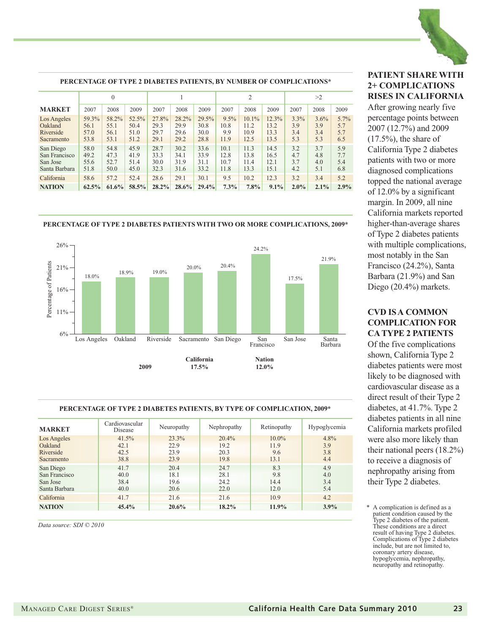

#### **PERCENTAGE OF TYPE 2 DIABETES PATIENTS, BY NUMBER OF COMPLICATIONS\*** 0 1 1  $2$   $>2$ **MARKET** 2007 2008 2009 2007 2008 2009 2007 2008 2009 2007 2008 2009 Los Angeles 59.3% 58.2% 52.5% 27.8% 28.2% 29.5% 9.5% 10.1% 12.3% 3.3% 3.6% 5.7% Oakland 56.1 55.1 50.4 29.3 29.9 30.8 10.8 11.2 13.2 3.9 3.9 5.7 Riverside 57.0 56.1 51.0 29.7 29.6 30.0 9.9 10.9 13.3 3.4 3.4 5.7 Sacramento 53.8 53.1 51.2 29.1 29.2 28.8 11.9 12.5 13.5 5.3 5.3 6.5 San Diego 58.0 54.8 45.9 28.7 30.2 33.6 10.1 11.3 14.5 3.2 3.7 5.9 San Francisco | 49.2 | 47.3 | 41.9 | 33.3 | 34.1 | 33.9 | 12.8 | 13.8 | 16.5 | 4.7 | 4.8 | 7.7 San Jose 55.6 52.7 51.4 30.0 31.9 31.1 10.7 11.4 12.1 3.7 4.0 5.4 Santa Barbara 51.8 50.0 45.0 32.3 31.6 33.2 11.8 13.3 15.1 4.2 5.1 6.8 California 58.6 57.2 52.4 28.6 29.1 30.1 9.5 10.2 12.3 3.2 3.4 5.2 **NATION 62.5% 61.6% 58.5% 28.2% 28.6% 29.4% 7.3% 7.8% 9.1% 2.0% 2.1% 2.9%**

#### **PERCENTAGE OF TYPE 2 DIABETES PATIENTS WITH TWO OR MORE COMPLICATIONS, 2009\***



#### **PERCENTAGE OF TYPE 2 DIABETES PATIENTS, BY TYPE OF COMPLICATION, 2009\***

| <b>MARKET</b>                                           | Cardiovascular<br>Disease     | Neuropathy                    | Nephropathy                   | Retinopathy                     | Hypoglycemia              |
|---------------------------------------------------------|-------------------------------|-------------------------------|-------------------------------|---------------------------------|---------------------------|
| Los Angeles<br>Oakland<br>Riverside<br>Sacramento       | 41.5%<br>42.1<br>42.5<br>38.8 | 23.3%<br>22.9<br>23.9<br>23.9 | 20.4%<br>19.2<br>20.3<br>19.8 | $10.0\%$<br>11.9<br>9.6<br>13.1 | 4.8%<br>3.9<br>3.8<br>4.4 |
| San Diego<br>San Francisco<br>San Jose<br>Santa Barbara | 41.7<br>40.0<br>38.4<br>40.0  | 20.4<br>18.1<br>19.6<br>20.6  | 24.7<br>28.1<br>24.2<br>22.0  | 8.3<br>9.8<br>14.4<br>12.0      | 4.9<br>4.0<br>3.4<br>5.4  |
| California                                              | 41.7                          | 21.6                          | 21.6                          | 10.9                            | 4.2                       |
| <b>NATION</b>                                           | 45.4%                         | 20.6%                         | 18.2%                         | 11.9%                           | 3.9%                      |

*Data source: SDI © 2010*

#### **PATIENT SHARE WITH 2+ COMPLICATIONS RISES IN CALIFORNIA**

After growing nearly five percentage points between 2007 (12.7%) and 2009  $(17.5\%)$ , the share of California Type 2 diabetes patients with two or more diagnosed complications topped the national average of 12.0% by a significant margin. In 2009, all nine California markets reported higher-than-average shares of Type 2 diabetes patients with multiple complications, most notably in the San Francisco (24.2%), Santa Barbara (21.9%) and San Diego (20.4%) markets.

#### **CVD IS A COMMON COMPLICATION FOR CA TYPE 2 PATIENTS**

Of the five complications shown, California Type 2 diabetes patients were most likely to be diagnosed with cardiovascular disease as a direct result of their Type 2 diabetes, at 41.7%. Type 2 diabetes patients in all nine California markets profiled were also more likely than their national peers (18.2%) to receive a diagnosis of nephropathy arising from their Type 2 diabetes.

<sup>\*</sup> A complication is defined as a patient condition caused by the Type 2 diabetes of the patient. These conditions are a direct result of having Type 2 diabetes. Complications of Type 2 diabetes include, but are not limited to. coronary artery disease, hypoglycemia, nephropathy, neuropathy and retinopathy.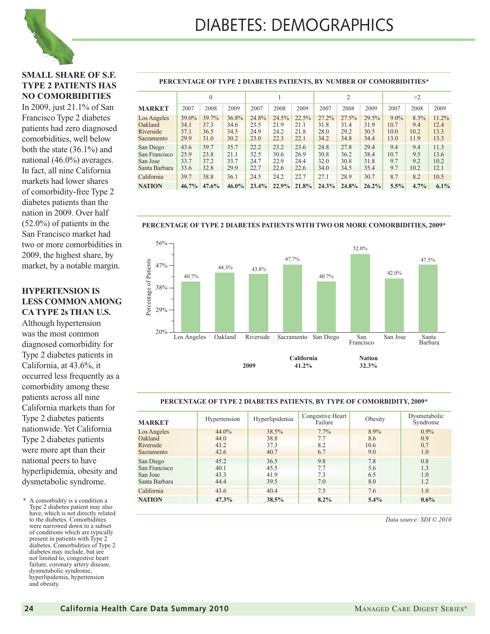#### **SMALL SHARE OF S.F. TYPE 2 PATIENTS HAS NO COMORBIDITIES**

In 2009, just 21.1% of San Francisco Type 2 diabetes patients had zero diagnosed comorbidities, well below both the state (36.1%) and national (46.0%) averages. In fact, all nine California markets had lower shares of comorbidity-free Type 2 diabetes patients than the nation in 2009. Over half (52.0%) of patients in the San Francisco market had two or more comorbidities in 2009, the highest share, by market, by a notable margin.

#### **HYPERTENSION IS LESS COMMON AMONG CA TYPE 2s THAN U.S.**

Although hypertension was the most common diagnosed comorbidity for Type 2 diabetes patients in California, at 43.6%, it occurred less frequently as a comorbidity among these patients across all nine California markets than for Type 2 diabetes patients nationwide. Yet California Type 2 diabetes patients were more apt than their national peers to have hyperlipidemia, obesity and dysmetabolic syndrome.

A comorbidity is a condition a Type 2 diabetes patient may also have, which is not directly related to the diabetes. Comorbidities were narrowed down to a subset of conditions which are typically present in patients with Type 2 diabetes. Comorbidities of Type 2 diabetes may include, but are not limited to, congestive heart failure, coronary artery disease, dysmetabolic syndrome, hyperlipidemia, hypertension and obesity.

#### **PERCENTAGE OF TYPE 2 DIABETES PATIENTS, BY NUMBER OF COMORBIDITIES\***

|                                                         | 0                             |                               |                               |                               |                               |                               | 2                             |                               |                               | >2                              |                                |                               |
|---------------------------------------------------------|-------------------------------|-------------------------------|-------------------------------|-------------------------------|-------------------------------|-------------------------------|-------------------------------|-------------------------------|-------------------------------|---------------------------------|--------------------------------|-------------------------------|
| <b>MARKET</b>                                           | 2007                          | 2008                          | 2009                          | 2007                          | 2008                          | 2009                          | 2007                          | 2008                          | 2009                          | 2007                            | 2008                           | 2009                          |
| Los Angeles<br>Oakland<br>Riverside<br>Sacramento       | 39.0%<br>34.1<br>37.1<br>29.9 | 39.7%<br>37.3<br>36.5<br>31.0 | 36.8%<br>34.6<br>34.5<br>30.2 | 24.8%<br>23.5<br>24.9<br>23.0 | 24.5%<br>21.9<br>24.2<br>22.3 | 22.5%<br>21.1<br>21.8<br>22.1 | 27.2%<br>31.8<br>28.0<br>34.2 | 27.5%<br>31.4<br>29.2<br>34.8 | 29.5%<br>31.9<br>30.5<br>34.4 | $9.0\%$<br>10.7<br>10.0<br>13.0 | $8.3\%$<br>9.4<br>10.2<br>11.9 | 11.2%<br>12.4<br>13.3<br>13.3 |
| San Diego<br>San Francisco<br>San Jose<br>Santa Barbara | 43.6<br>25.9<br>33.7<br>33.6  | 39.7<br>23.8<br>37.2<br>32.8  | 35.7<br>21.1<br>33.7<br>29.9  | 22.2<br>32.5<br>24.7<br>22.7  | 23.2<br>30.6<br>22.9<br>22.6  | 23.6<br>26.9<br>24.4<br>22.6  | 24.8<br>30.8<br>32.0<br>34.0  | 27.8<br>36.2<br>30.8<br>34.5  | 29.4<br>38.4<br>31.8<br>35.4  | 9.4<br>10.7<br>9.7<br>9.7       | 9.4<br>9.5<br>9.2<br>10.2      | 11.3<br>13.6<br>10.2<br>12.1  |
| California                                              | 39.7                          | 38.8                          | 36.1                          | 24.5                          | 24.2                          | 22.7                          | 27.1                          | 28.9                          | 30.7                          | 8.7                             | 8.2                            | 10.5                          |
| <b>NATION</b>                                           | $46.7\%$                      | $47.6\%$                      | $46.0\%$                      | 23.4%                         | 22.9%                         | 21.8%                         | $24.3\%$                      | 24.8%                         | 26.2%                         | 5.5%                            | $4.7\%$                        | $6.1\%$                       |

56% 52.0% 47.7% 47.5% Percentage of Patients Percentage of Patients 47% 44.3% 43.8% 42.0% 40.7% 40.7% 38% 29% 20% Los Angeles Oakland Riverside Sacramento San Diego San Francisco San Jose Santa Barbara **California Nation 2009 41.2% 32.3%**

#### **PERCENTAGE OF TYPE 2 DIABETES PATIENTS WITH TWO OR MORE COMORBIDITIES, 2009\***

#### **PERCENTAGE OF TYPE 2 DIABETES PATIENTS, BY TYPE OF COMORBIDITY, 2009\***

| <b>MARKET</b>                                           | Hypertension                  | Hyperlipidemia                | Congestive Heart<br>Failure | Obesity                    | Dysmetabolic<br>Syndrome     |
|---------------------------------------------------------|-------------------------------|-------------------------------|-----------------------------|----------------------------|------------------------------|
| Los Angeles<br>Oakland<br>Riverside<br>Sacramento       | 44.0%<br>44.0<br>43.2<br>42.6 | 38.5%<br>38.8<br>37.3<br>40.7 | 7.7%<br>7.7<br>8.2<br>6.7   | 8.9%<br>8.6<br>10.6<br>9.0 | $0.9\%$<br>0.9<br>0.7<br>1.0 |
| San Diego<br>San Francisco<br>San Jose<br>Santa Barbara | 45.2<br>40.1<br>43.3<br>44.4  | 36.5<br>45.5<br>41.9<br>39.5  | 9.8<br>7.7<br>7.3<br>7.0    | 7.8<br>5.6<br>6.5<br>8.0   | 0.8<br>1.3<br>1.0<br>1.2     |
| California                                              | 43.6                          | 40.4                          | 7.5                         | 7.6                        | 1.0                          |
| <b>NATION</b>                                           | 47.3%                         | 38.5%                         | $8.2\%$                     | 5.4%                       | $0.6\%$                      |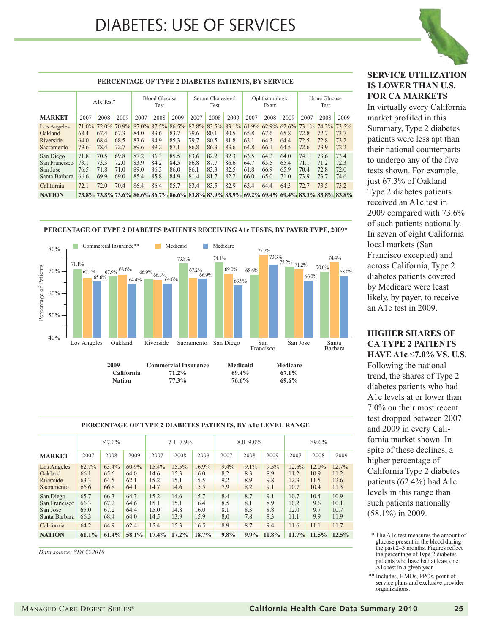

#### 2007 2008 2009 2007 2008 2009 2007 2008 2009 2007 2008 2009 2007 2008 2009 A1c Test\* Blood Glucose Test Serum Cholesterol Test Ophthalmologic Exam Urine Glucose Test **PERCENTAGE OF TYPE 2 DIABETES PATIENTS, BY SERVICE MARKET** Los Angeles 71.0% 72.0% 70.9% 87.0% 87.5% 86.5% 82.8% 83.5% 83.1% 61.9% 62.9% 62.6% 73.1% 74.2% 73.5% Oakland 68.4 67.4 67.3 84.0 83.6 83.7 79.6 80.1 80.5 65.8 67.6 65.8 72.8 72.7 73.7 Riverside 64.0 68.4 68.5 83.6 84.9 85.3 79.7 80.5 81.8 63.1 64.3 64.4 72.5 72.8 73.2 Sacramento 79.6 78.4 72.7 89.6 89.2 87.1 86.8 86.3 83.6 64.8 66.1 64.5 72.6 73.9 72.2 San Diego 71.8 70.5 69.8 87.2 86.3 85.5 83.6 82.2 82.3 63.5 64.2 64.0 74.1 73.6 73.4 San Francisco 73.1 73.3 72.0 83.9 84.2 84.5 86.8 87.7 86.6 64.7 65.5 65.4 71.1 71.2 72.3 San Jose 76.5 71.8 71.0 89.0 86.3 86.0 86.1 83.3 82.5 61.8 66.9 65.9 70.4 72.8 72.0 Santa Barbara 66.6 69.9 69.0 85.4 85.8 84.9 81.4 81.7 82.2 66.0 65.0 71.0 73.9 73.7 74.6 California 72.1 72.0 70.4 86.4 86.4 85.7 83.4 83.5 82.9 63.4 64.4 64.3 72.7 73.5 73.2 **NATION 73.8% 73.8% 73.6% 86.6% 86.7% 86.6% 83.8% 83.9% 83.9% 69.2% 69.4% 69.4% 83.3% 83.8% 83.8%**



#### **PERCENTAGE OF TYPE 2 DIABETES PATIENTS, BY A1c LEVEL RANGE**

|               | $\leq 7.0\%$ |          |       | $7.1 - 7.9\%$ |          |       | $8.0 - 9.0\%$ |         |          | $>9.0\%$ |          |       |
|---------------|--------------|----------|-------|---------------|----------|-------|---------------|---------|----------|----------|----------|-------|
| <b>MARKET</b> | 2007         | 2008     | 2009  | 2007          | 2008     | 2009  | 2007          | 2008    | 2009     | 2007     | 2008     | 2009  |
| Los Angeles   | 62.7%        | $63.4\%$ | 60.9% | $15.4\%$      | $15.5\%$ | 16.9% | $9.4\%$       | $9.1\%$ | 9.5%     | 12.6%    | $12.0\%$ | 12.7% |
| Oakland       | 66.1         | 65.6     | 64.0  | 14.6          | 15.3     | 16.0  | 8.2           | 8.3     | 8.9      | 11.2     | 10.9     | 11.2  |
| Riverside     | 63.3         | 64.5     | 62.1  | 15.2          | 15.1     | 15.5  | 9.2           | 8.9     | 9.8      | 12.3     | 11.5     | 12.6  |
| Sacramento    | 66.6         | 66.8     | 64.1  | 14.7          | 14.6     | 15.5  | 7.9           | 8.2     | 9.1      | 10.7     | 10.4     | 11.3  |
| San Diego     | 65.7         | 66.3     | 64.3  | 15.2          | 14.6     | 15.7  | 8.4           | 8.7     | 9.1      | 10.7     | 10.4     | 10.9  |
| San Francisco | 66.3         | 67.2     | 64.6  | 15.1          | 15.1     | 16.4  | 8.5           | 8.1     | 8.9      | 10.2     | 9.6      | 10.1  |
| San Jose      | 65.0         | 67.2     | 64.4  | 15.0          | 14.8     | 16.0  | 8.1           | 8.3     | 8.8      | 12.0     | 9.7      | 10.7  |
| Santa Barbara | 66.3         | 68.4     | 64.0  | 14.5          | 13.9     | 15.9  | 8.0           | 7.8     | 8.3      | 11.1     | 9.9      | 11.9  |
| California    | 64.2         | 64.9     | 62.4  | 15.4          | 15.3     | 16.5  | 8.9           | 8.7     | 9.4      | 11.6     | 11.1     | 11.7  |
| <b>NATION</b> | $61.1\%$     | 61.4%    | 58.1% | 17.4%         | $17.2\%$ | 18.7% | $9.8\%$       | $9.9\%$ | $10.8\%$ | 11.7%    | 11.5%    | 12.5% |

*Data source: SDI © 2010*

#### **SERVICE UTILIZATION IS LOWER THAN U.S. FOR CA MARKETS**

In virtually every California market profiled in this Summary, Type 2 diabetes patients were less apt than their national counterparts to undergo any of the five tests shown. For example, just 67.3% of Oakland Type 2 diabetes patients received an A1c test in 2009 compared with 73.6% of such patients nationally. In seven of eight California local markets (San Francisco excepted) and across California, Type 2 diabetes patients covered by Medicare were least likely, by payer, to receive an A1c test in 2009.

### **HIGHER SHARES OF CA TYPE 2 PATIENTS**

**HAVE A1c** ≤**7.0% VS. U.S.** Following the national trend, the shares of Type 2 diabetes patients who had A1c levels at or lower than 7.0% on their most recent test dropped between 2007 and 2009 in every California market shown. In spite of these declines, a higher percentage of California Type 2 diabetes patients (62.4%) had A1c levels in this range than such patients nationally (58.1%) in 2009.

<sup>\*</sup> The A1c test measures the amount of glucose present in the blood during the past 2–3 months. Figures reflect the percentage of Type  $\tilde{2}$  diabetes patients who have had at least one A1c test in a given year.

<sup>\*\*</sup> Includes, HMOs, PPOs, point-ofservice plans and exclusive provider organizations.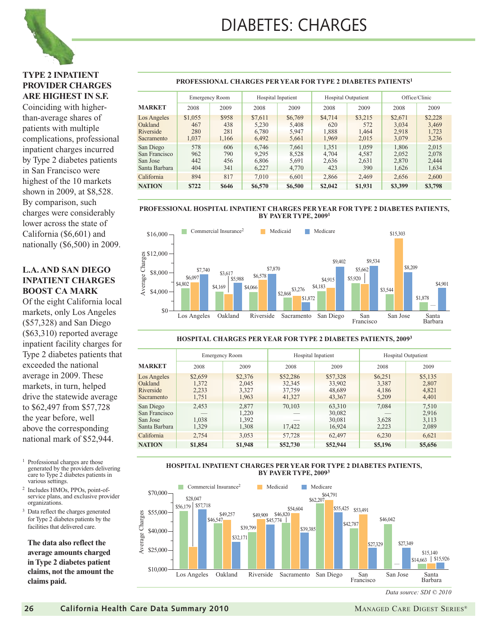

#### **TYPE 2 INPATIENT PROVIDER CHARGES ARE HIGHEST IN S.F.**

Coinciding with higherthan-average shares of patients with multiple complications, professional inpatient charges incurred by Type 2 diabetes patients in San Francisco were highest of the 10 markets shown in 2009, at \$8,528. By comparison, such charges were considerably lower across the state of California (\$6,601) and nationally (\$6,500) in 2009.

#### **L.A. AND SAN DIEGO INPATIENT CHARGES BOOST CA MARK**

Of the eight California local markets, only Los Angeles (\$57,328) and San Diego (\$63,310) reported average inpatient facility charges for Type 2 diabetes patients that exceeded the national average in 2009. These markets, in turn, helped drive the statewide average to \$62,497 from \$57,728 the year before, well above the corresponding national mark of \$52,944.

- <sup>1</sup> Professional charges are those generated by the providers delivering care to Type 2 diabetes patients in various settings.
- <sup>2</sup> Includes HMOs, PPOs, point-ofservice plans, and exclusive provider organizations.
- <sup>3</sup> Data reflect the charges generated for Type 2 diabetes patients by the facilities that delivered care.

**The data also reflect the average amounts charged in Type 2 diabetes patient claims, not the amount the claims paid.**

#### **PROFESSIONAL CHARGES PER YEAR FOR TYPE 2 DIABETES PATIENTS1**

|                                                         |                                | <b>Emergency Room</b>        | Hospital Inpatient                 |                                    | <b>Hospital Outpatient</b>       |                                  | Office/Clinic                      |                                    |
|---------------------------------------------------------|--------------------------------|------------------------------|------------------------------------|------------------------------------|----------------------------------|----------------------------------|------------------------------------|------------------------------------|
| <b>MARKET</b>                                           | 2008                           | 2009                         | 2008                               | 2009                               | 2008                             | 2009                             | 2008                               | 2009                               |
| Los Angeles<br>Oakland<br>Riverside<br>Sacramento       | \$1,055<br>467<br>280<br>1,037 | \$958<br>438<br>281<br>1,166 | \$7,611<br>5.230<br>6,780<br>6,492 | \$6,769<br>5.408<br>5.947<br>5,661 | \$4,714<br>620<br>1,888<br>1,969 | \$3,215<br>572<br>1,464<br>2,015 | \$2,671<br>3.034<br>2,918<br>3,079 | \$2,228<br>3,469<br>1,723<br>3,236 |
| San Diego<br>San Francisco<br>San Jose<br>Santa Barbara | 578<br>962<br>442<br>404       | 606<br>790<br>456<br>341     | 6,746<br>9,295<br>6.806<br>6,227   | 7,661<br>8,528<br>5,691<br>4,770   | 1,351<br>4.704<br>2,636<br>423   | 1,059<br>4,587<br>2,631<br>390   | 1,806<br>2,052<br>2.870<br>1,626   | 2,015<br>2,078<br>2,444<br>1,634   |
| California                                              | 894                            | 817                          | 7,010                              | 6,601                              | 2,866                            | 2,469                            | 2,656                              | 2,600                              |
| <b>NATION</b>                                           | \$722                          | \$646                        | \$6,570                            | \$6,500                            | \$2,042                          | \$1,931                          | \$3,399                            | \$3,798                            |

#### **PROFESSIONAL HOSPITAL INPATIENT CHARGES PER YEAR FOR TYPE 2 DIABETES PATIENTS, BY PAYER TYPE, 20091**



#### **HOSPITAL CHARGES PER YEAR FOR TYPE 2 DIABETES PATIENTS, 20093**

|                                                         | <b>Emergency Room</b>              |                                    | <b>Hospital Inpatient</b>              |                                        | <b>Hospital Outpatient</b>         |                                    |  |
|---------------------------------------------------------|------------------------------------|------------------------------------|----------------------------------------|----------------------------------------|------------------------------------|------------------------------------|--|
| <b>MARKET</b>                                           | 2008                               | 2009                               | 2008                                   | 2009                                   | 2008                               | 2009                               |  |
| Los Angeles<br>Oakland<br>Riverside<br>Sacramento       | \$2,659<br>1.372<br>2,233<br>1,751 | \$2,376<br>2.045<br>3,327<br>1,963 | \$52,286<br>32,345<br>37,759<br>41,327 | \$57,328<br>33,902<br>48,689<br>43,367 | \$6,251<br>3.387<br>4,186<br>5,209 | \$5,135<br>2.807<br>4,821<br>4,401 |  |
| San Diego<br>San Francisco<br>San Jose<br>Santa Barbara | 2,453<br>1,038<br>1,329            | 2,877<br>1.220<br>1,392<br>1.308   | 70,103<br>17,422                       | 63.310<br>30,082<br>30,081<br>16.924   | 7,084<br>3,628<br>2.223            | 7,510<br>2.916<br>3,113<br>2.089   |  |
| California                                              | 2.754                              | 3,053                              | 57,728                                 | 62,497                                 | 6.230                              | 6.621                              |  |
| <b>NATION</b>                                           | \$1,854                            | \$1,948                            | \$52,730                               | \$52,944                               | \$5,196                            | \$5,656                            |  |

#### **HOSPITAL INPATIENT CHARGES PER YEAR FOR TYPE 2 DIABETES PATIENTS, BY PAYER TYPE, 20093**



*Data source: SDI © 2010*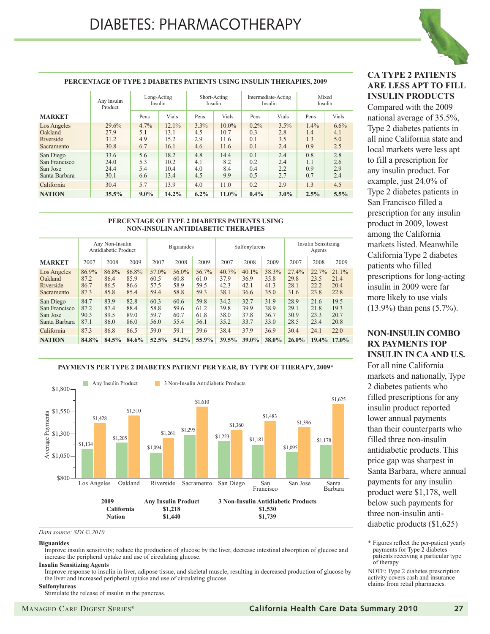

#### **PERCENTAGE OF TYPE 2 DIABETES PATIENTS USING INSULIN THERAPIES, 2009**

|                                                         | Any Insulin<br>Product        | Long-Acting<br>Insulin       |                                  | Short-Acting              | Insulin                          |                              | Intermediate-Acting<br>Insulin | Mixed<br>Insulin             |                           |  |
|---------------------------------------------------------|-------------------------------|------------------------------|----------------------------------|---------------------------|----------------------------------|------------------------------|--------------------------------|------------------------------|---------------------------|--|
| <b>MARKET</b>                                           |                               | Pens                         | Vials                            | Pens                      | Vials                            | Pens                         | Vials                          | Pens                         | Vials                     |  |
| Los Angeles<br>Oakland<br>Riverside<br>Sacramento       | 29.6%<br>27.9<br>31.2<br>30.8 | $4.7\%$<br>5.1<br>4.9<br>6.7 | $12.1\%$<br>13.1<br>15.2<br>16.1 | 3.3%<br>4.5<br>2.9<br>4.6 | $10.0\%$<br>10.7<br>11.6<br>11.6 | $0.2\%$<br>0.3<br>0.1<br>0.1 | 3.5%<br>2.8<br>3.5<br>2.4      | $1.4\%$<br>1.4<br>1.3<br>0.9 | 6.6%<br>4.1<br>5.0<br>2.5 |  |
| San Diego<br>San Francisco<br>San Jose<br>Santa Barbara | 33.6<br>24.0<br>24.4<br>30.1  | 5.6<br>5.3<br>5.4<br>6.6     | 18.2<br>10.2<br>10.4<br>13.4     | 4.8<br>4.1<br>4.0<br>4.5  | 14.4<br>8.2<br>8.4<br>9.9        | 0.1<br>0.2<br>0.4<br>0.5     | 2.4<br>2.4<br>2.2<br>2.7       | 0.8<br>1.1<br>0.9<br>0.7     | 2.8<br>2.6<br>2.9<br>2.4  |  |
| California                                              | 30.4                          | 5.7                          | 13.9                             | 4.0                       | 11.0                             | 0.2                          | 2.9                            | 1.3                          | 4.5                       |  |
| <b>NATION</b>                                           | 35.5%                         | $9.0\%$                      | $14.2\%$                         | $6.2\%$                   | $11.0\%$                         | 0.4%                         | $3.0\%$                        | 2.5%                         | $5.5\%$                   |  |

#### **PERCENTAGE OF TYPE 2 DIABETES PATIENTS USING NON-INSULIN ANTIDIABETIC THERAPIES**

|                                                         |                               | Any Non-Insulin<br>Antidiabetic Product |                               | <b>Biguanides</b>             |                               |                               |                               | Sulfonylureas                    |                               | Insulin Sensitizing<br>Agents |                               |                                  |
|---------------------------------------------------------|-------------------------------|-----------------------------------------|-------------------------------|-------------------------------|-------------------------------|-------------------------------|-------------------------------|----------------------------------|-------------------------------|-------------------------------|-------------------------------|----------------------------------|
| <b>MARKET</b>                                           | 2007                          | 2008                                    | 2009                          | 2007                          | 2008                          | 2009                          | 2007                          | 2008                             | 2009                          | 2007                          | 2008                          | 2009                             |
| Los Angeles<br>Oakland<br>Riverside<br>Sacramento       | 86.9%<br>87.2<br>86.7<br>87.3 | 86.8%<br>86.4<br>86.5<br>85.8           | 86.8%<br>85.9<br>86.6<br>85.4 | 57.0%<br>60.5<br>57.5<br>59.4 | 56.0%<br>60.8<br>58.9<br>58.8 | 56.7%<br>61.0<br>59.5<br>59.3 | 40.7%<br>37.9<br>42.3<br>38.1 | $40.1\%$<br>36.9<br>42.1<br>36.6 | 38.3%<br>35.8<br>41.3<br>35.0 | 27.4%<br>29.8<br>28.1<br>31.6 | 22.7%<br>23.5<br>22.2<br>23.8 | $21.1\%$<br>21.4<br>20.4<br>22.8 |
| San Diego<br>San Francisco<br>San Jose<br>Santa Barbara | 84.7<br>87.2<br>90.3<br>87.1  | 83.9<br>87.4<br>89.5<br>86.0            | 82.8<br>88.4<br>89.0<br>86.0  | 60.3<br>58.8<br>59.7<br>56.0  | 60.6<br>59.6<br>60.7<br>55.4  | 59.8<br>61.2<br>61.8<br>56.1  | 34.2<br>39.8<br>38.0<br>35.2  | 32.7<br>39.9<br>37.8<br>33.7     | 31.9<br>38.9<br>36.7<br>33.0  | 28.9<br>29.1<br>30.9<br>28.5  | 21.6<br>21.8<br>23.3<br>23.4  | 19.5<br>19.3<br>20.7<br>20.8     |
| California                                              | 87.3                          | 86.8                                    | 86.5                          | 59.0                          | 59.1                          | 59.6                          | 38.4                          | 37.9                             | 36.9                          | 30.4                          | 24.1                          | 22.0                             |
| <b>NATION</b>                                           | 84.8%                         | 84.5%                                   | 84.6%                         | 52.5%                         | 54.2%                         | 55.9%                         | 39.5%                         | 39.0%                            | 38.0%                         | $26.0\%$                      | $19.4\%$                      | $17.0\%$                         |

**PAYMENTS PER TYPE 2 DIABETES PATIENT PER YEAR, BY TYPE OF THERAPY, 2009\***

#### \$800 \$1,050 \$1,300 \$1,550 \$1,800 Average Payments \$1,134 \$1,428 \$1,205 \$1,510 \$1,094 \$1,261 \$1,295 \$1,610 \$1,223 \$1,360 \$1,181 \$1,483 \$1,095 \$1,396 \$1,178 \$1,625 **Any Insulin Product** 3 Non-Insulin Antidiabetic Products Los Angeles Oakland Riverside Sacramento San Diego San Francisco San Jose Santa Barbara **2009 Any Insulin Product 3 Non-Insulin Antidiabetic Products California \$1,218 \$1,530 Nation \$1,440 \$1,739**

#### *Data source: SDI © 2010*

#### **Biguanides**

Improve insulin sensitivity; reduce the production of glucose by the liver, decrease intestinal absorption of glucose and increase the peripheral uptake and use of circulating glucose.

#### **Insulin Sensitizing Agents**

Improve response to insulin in liver, adipose tissue, and skeletal muscle, resulting in decreased production of glucose by the liver and increased peripheral uptake and use of circulating glucose.

#### **Sulfonylureas**

Stimulate the release of insulin in the pancreas.

### **CA TYPE 2 PATIENTS ARE LESS APT TO FILL INSULIN PRODUCTS**

Compared with the 2009 national average of 35.5%, Type 2 diabetes patients in all nine California state and local markets were less apt to fill a prescription for any insulin product. For example, just 24.0% of Type 2 diabetes patients in San Francisco filled a prescription for any insulin product in 2009, lowest among the California markets listed. Meanwhile California Type 2 diabetes patients who filled prescriptions for long-acting insulin in 2009 were far more likely to use vials (13.9%) than pens (5.7%).

#### **NON-INSULIN COMBO RX PAYMENTS TOP INSULIN IN CA AND U.S.**

For all nine California markets and nationally, Type 2 diabetes patients who filled prescriptions for any insulin product reported lower annual payments than their counterparts who filled three non-insulin antidiabetic products. This price gap was sharpest in Santa Barbara, where annual payments for any insulin product were \$1,178, well below such payments for three non-insulin antidiabetic products (\$1,625)

\* Figures reflect the per-patient yearly payments for Type 2 diabetes patients receiving a particular type of therapy.

NOTE: Type 2 diabetes prescription activity covers cash and insurance claims from retail pharmacies.